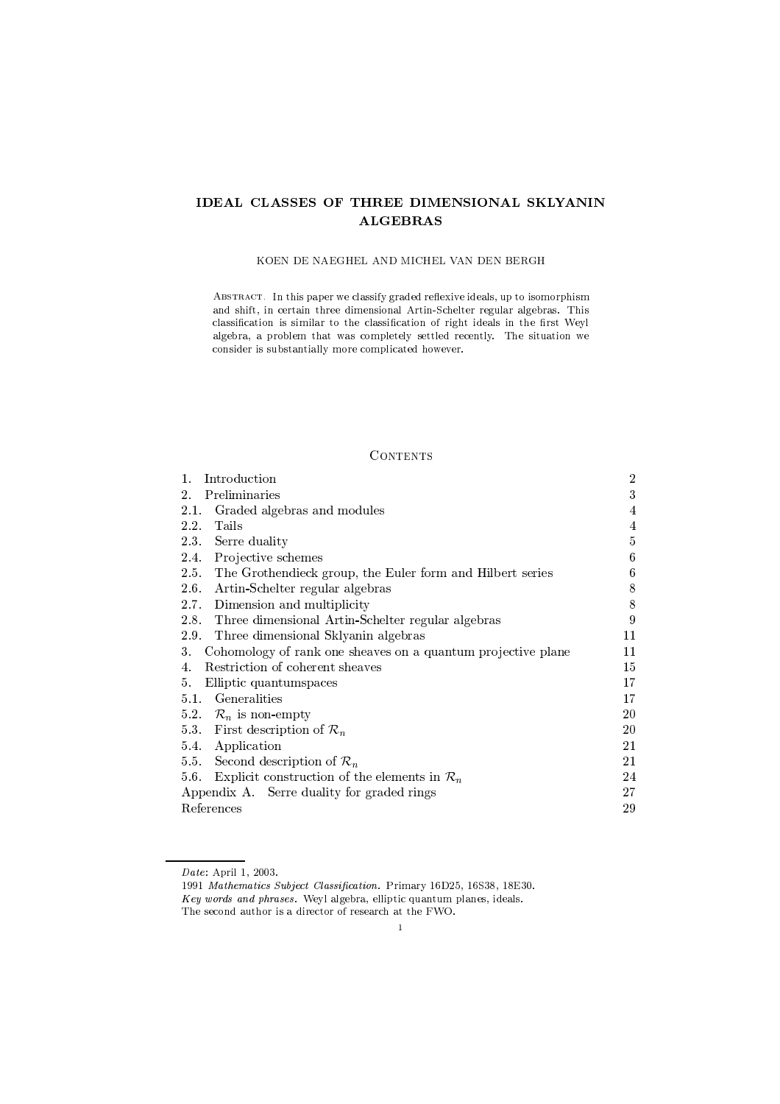# IDEAL CLASSES OF THREE DIMENSIONAL SKLYANIN **ALGEBRAS**

## KOEN DE NAEGHEL AND MICHEL VAN DEN BERGH

ABSTRACT. In this paper we classify graded reflexive ideals, up to isomorphism and shift, in certain three dimensional Artin-Schelter regular algebras. This classification is similar to the classification of right ideals in the first Weyl algebra, a problem that was completely settled recently. The situation we consider is substantially more complicated however.

# **CONTENTS**

| 1.<br>Introduction                                                 | $\overline{2}$ |
|--------------------------------------------------------------------|----------------|
| Preliminaries<br>2.                                                | 3              |
| Graded algebras and modules<br>2.1.                                | 4              |
| Tails<br>$2.2^{\circ}$                                             | 4              |
| 2.3 Serre duality                                                  | 5              |
| Projective schemes<br>2.4.                                         | 6              |
| 2.5. The Grothendieck group, the Euler form and Hilbert series     | 6              |
| Artin-Schelter regular algebras<br>2.6.                            | 8              |
| Dimension and multiplicity<br>2.7                                  | 8              |
| 2.8. Three dimensional Artin-Schelter regular algebras             | 9              |
| 2.9. Three dimensional Sklyanin algebras                           | 11             |
| Cohomology of rank one sheaves on a quantum projective plane<br>3. | 11             |
| Restriction of coherent sheaves<br>4.                              | 15             |
| Elliptic quantum spaces<br>5.                                      | 17             |
| Generalities<br>5.1                                                | 17             |
| 5.2. $\mathcal{R}_n$ is non-empty                                  | 20             |
| 5.3 First description of $\mathcal{R}_n$                           | 20             |
| Application<br>5.4.                                                | 21             |
| 5.5 Second description of $\mathcal{R}_n$                          | 21             |
| Explicit construction of the elements in $\mathcal{R}_n$<br>5.6.   | 24             |
| Appendix A. Serre duality for graded rings                         | 27             |
| References                                                         | 29             |

Date: April 1, 2003.

<sup>1991</sup> Mathematics Subject Classification. Primary 16D25, 16S38, 18E30. Key words and phrases. Weyl algebra, elliptic quantum planes, ideals. The second author is a director of research at the FWO.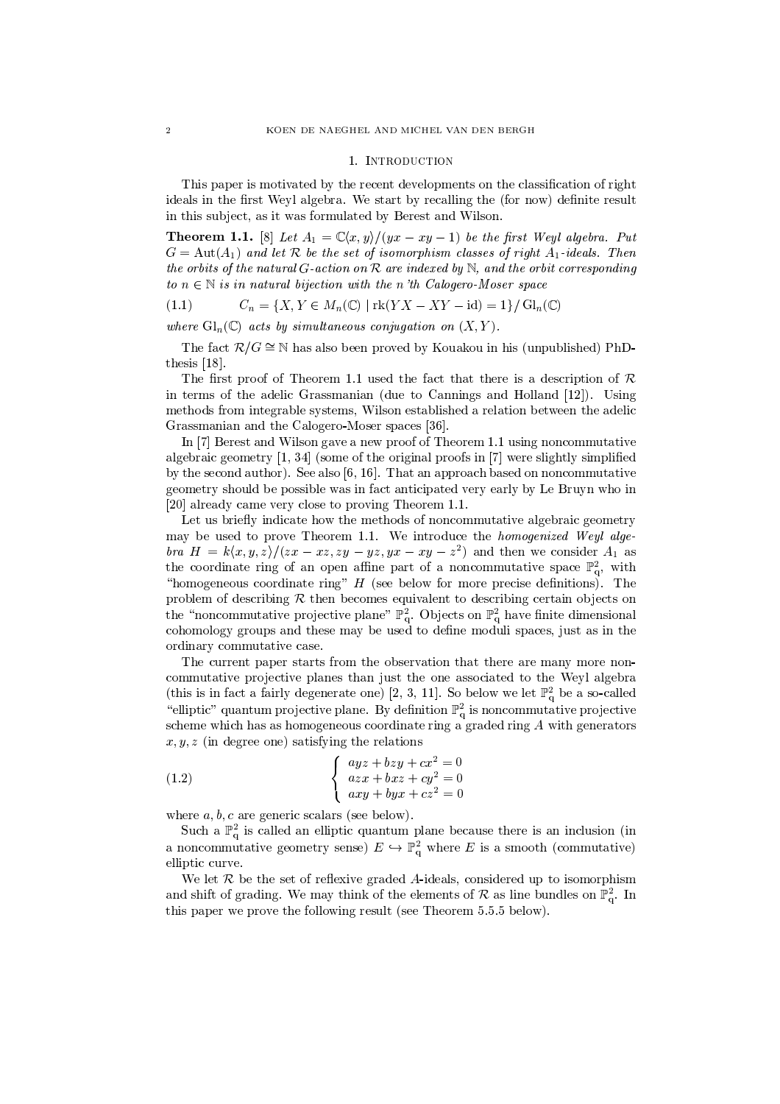#### 1. INTRODUCTION

This paper is motivated by the recent developments on the classification of right ideals in the first Weyl algebra. We start by recalling the (for now) definite result in this subject, as it was formulated by Berest and Wilson.

**Theorem 1.1.** [8] Let  $A_1 = \mathbb{C}\langle x, y \rangle/(yx - xy - 1)$  be the first Weyl algebra. Put  $G = \text{Aut}(A_1)$  and let R be the set of isomorphism classes of right  $A_1$ -ideals. Then the orbits of the natural G-action on R are indexed by N, and the orbit corresponding to  $n \in \mathbb{N}$  is in natural bijection with the n'th Calogero-Moser space

(1.1) 
$$
C_n = \{X, Y \in M_n(\mathbb{C}) \mid \text{rk}(YX - XY - \text{id}) = 1\} / \text{Gl}_n(\mathbb{C})
$$

where  $\mathrm{Gl}_n(\mathbb{C})$  acts by simultaneous conjugation on  $(X,Y)$ 

The fact  $\mathcal{R}/G \cong \mathbb{N}$  has also been proved by Kouakou in his (unpublished) PhDthesis  $[18]$ .

The first proof of Theorem 1.1 used the fact that there is a description of  $\mathcal R$ in terms of the adelic Grassmanian (due to Cannings and Holland [12]). Using methods from integrable systems, Wilson established a relation between the adelic Grassmanian and the Calogero-Moser spaces [36].

In [7] Berest and Wilson gave a new proof of Theorem 1.1 using noncommutative algebraic geometry  $[1, 34]$  (some of the original proofs in  $[7]$  were slightly simplified by the second author). See also  $[6, 16]$ . That an approach based on noncommutative geometry should be possible was in fact anticipated very early by Le Bruyn who in [20] already came very close to proving Theorem 1.1.

Let us briefly indicate how the methods of noncommutative algebraic geometry may be used to prove Theorem 1.1. We introduce the homogenized Weyl alge*bra*  $H = k\langle x, y, z \rangle / (zx - xz, zy - yz, yx - xy - z^2)$  and then we consider  $A_1$  as the coordinate ring of an open affine part of a noncommutative space  $\mathbb{P}^2_q$ , with "homogeneous coordinate ring"  $H$  (see below for more precise definitions). The problem of describing  $R$  then becomes equivalent to describing certain objects on the "noncommutative projective plane"  $\mathbb{P}^2_q$ . Objects on  $\mathbb{P}^2_q$  have finite dimensional cohomology groups and these may be used to define moduli spaces, just as in the ordinary commutative case.

The current paper starts from the observation that there are many more noncommutative projective planes than just the one associated to the Weyl algebra (this is in fact a fairly degenerate one) [2, 3, 11]. So below we let  $\mathbb{P}_{q}^{2}$  be a so-called "elliptic" quantum projective plane. By definition  $\mathbb{P}^2_{q}$  is noncommutative projective scheme which has as homogeneous coordinate ring a graded ring  $A$  with generators  $x, y, z$  (in degree one) satisfying the relations

(1.2) 
$$
\begin{cases} ayz + bzy + cx^2 = 0\\ azx + bxz + cy^2 = 0\\ axy + byx + cz^2 = 0 \end{cases}
$$

where  $a, b, c$  are generic scalars (see below).

Such a  $\mathbb{P}^2_q$  is called an elliptic quantum plane because there is an inclusion (in a noncommutative geometry sense)  $E \hookrightarrow \mathbb{P}_{q}^{2}$  where E is a smooth (commutative) elliptic curve.

We let  $R$  be the set of reflexive graded  $A$ -ideals, considered up to isomorphism and shift of grading. We may think of the elements of  $\mathcal R$  as line bundles on  $\mathbb P^2_\sigma$ . In this paper we prove the following result (see Theorem 5.5.5 below).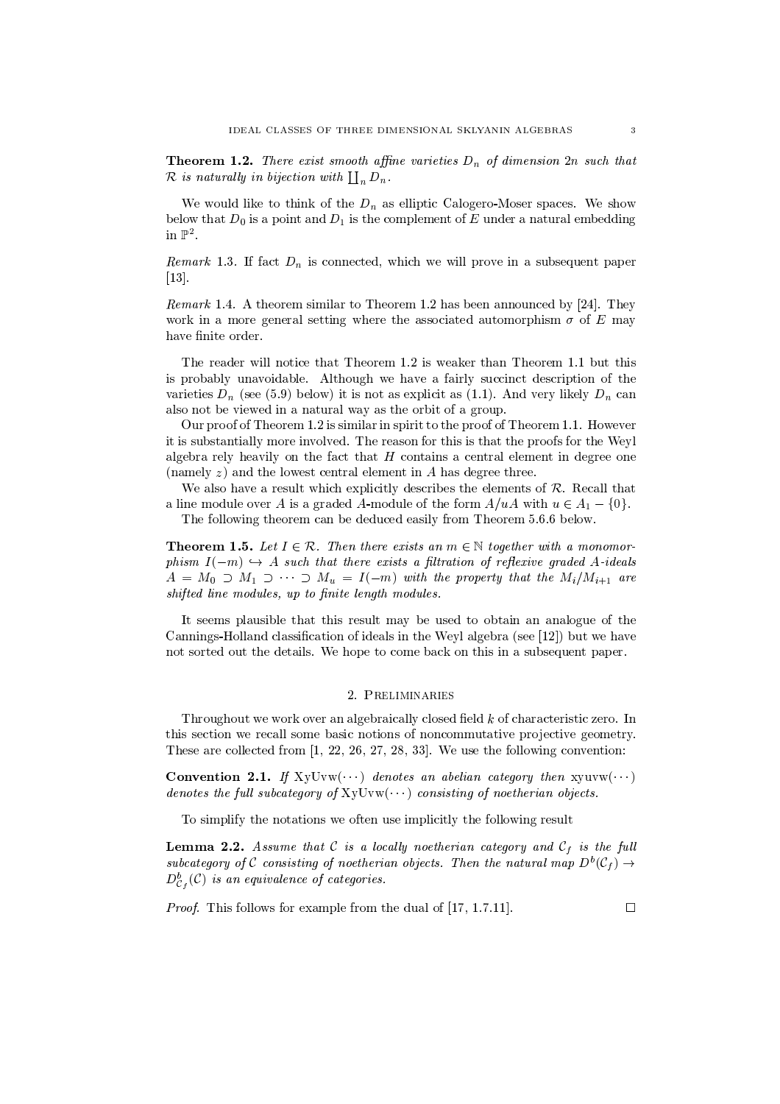**Theorem 1.2.** There exist smooth affine varieties  $D_n$  of dimension  $2n$  such that  $\mathcal R$  is naturally in bijection with  $\coprod_n D_n$ .

We would like to think of the  $D_n$  as elliptic Calogero-Moser spaces. We show below that  $D_0$  is a point and  $D_1$  is the complement of E under a natural embedding in  $\mathbb{P}^2$ .

*Remark* 1.3. If fact  $D_n$  is connected, which we will prove in a subsequent paper  $\left[13\right]$ 

*Remark* 1.4. A theorem similar to Theorem 1.2 has been announced by [24]. They work in a more general setting where the associated automorphism  $\sigma$  of E may have finite order.

The reader will notice that Theorem 1.2 is weaker than Theorem 1.1 but this is probably unavoidable. Although we have a fairly succinct description of the varieties  $D_n$  (see (5.9) below) it is not as explicit as (1.1). And very likely  $D_n$  can also not be viewed in a natural way as the orbit of a group.

Our proof of Theorem 1.2 is similar in spirit to the proof of Theorem 1.1. However it is substantially more involved. The reason for this is that the proofs for the Weyl algebra rely heavily on the fact that  $H$  contains a central element in degree one (namely  $z$ ) and the lowest central element in A has degree three.

We also have a result which explicitly describes the elements of  $R$ . Recall that a line module over A is a graded A-module of the form  $A/uA$  with  $u \in A_1 - \{0\}$ . The following theorem can be deduced easily from Theorem 5.6.6 below.

**Theorem 1.5.** Let  $I \in \mathcal{R}$ . Then there exists an  $m \in \mathbb{N}$  together with a monomorphism  $I(-m) \hookrightarrow A$  such that there exists a filtration of reflexive graded A-ideals  $A = M_0 \supset M_1 \supset \cdots \supset M_u = I(-m)$  with the property that the  $M_i/M_{i+1}$  are shifted line modules, up to finite length modules.

It seems plausible that this result may be used to obtain an analogue of the Cannings-Holland classification of ideals in the Weyl algebra (see [12]) but we have not sorted out the details. We hope to come back on this in a subsequent paper.

## 2. PRELIMINARIES

Throughout we work over an algebraically closed field  $k$  of characteristic zero. In this section we recall some basic notions of noncommutative projective geometry. These are collected from  $[1, 22, 26, 27, 28, 33]$ . We use the following convention:

**Convention 2.1.** If  $XyUvw(\cdots)$  denotes an abelian category then  $xyuvw(\cdots)$ denotes the full subcategory of  $XyUvw(\cdots)$  consisting of noetherian objects.

To simplify the notations we often use implicitly the following result

**Lemma 2.2.** Assume that C is a locally noetherian category and  $C_f$  is the full subcategory of C consisting of noetherian objects. Then the natural map  $D^b(\mathcal{C}_f) \to$  $D_{\mathcal{C}_f}^b(\mathcal{C})$  is an equivalence of categories.

*Proof.* This follows for example from the dual of [17, 1.7.11].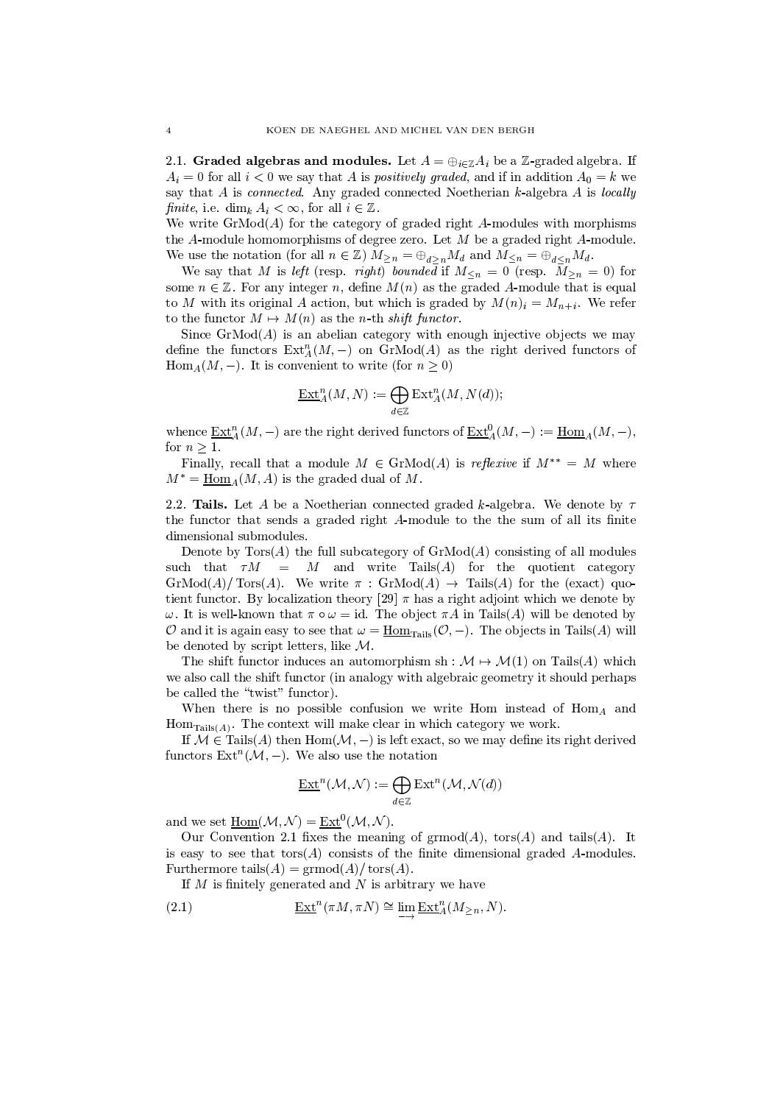2.1. Graded algebras and modules. Let  $A = \bigoplus_{i \in \mathbb{Z}} A_i$  be a Z-graded algebra. If  $A_i = 0$  for all  $i < 0$  we say that A is *positively graded*, and if in addition  $A_0 = k$  we say that  $A$  is *connected*. Any graded connected Noetherian  $k$ -algebra  $A$  is *locally* finite, i.e. dim<sub>k</sub>  $A_i < \infty$ , for all  $i \in \mathbb{Z}$ .

We write  $\operatorname{GrMod}(A)$  for the category of graded right A-modules with morphisms the  $A$ -module homomorphisms of degree zero. Let  $M$  be a graded right  $A$ -module.

We use the notation (for all  $n \in \mathbb{Z}$ )  $M_{\geq n} = \bigoplus_{d \geq n} M_d$  and  $M_{\leq n} = \bigoplus_{d \leq n} M_d$ .<br>We say that M is *left* (resp. *right)* bounded if  $M_{\leq n} = 0$  (resp.  $M_{\geq n} = 0$ ) for some  $n \in \mathbb{Z}$ . For any integer n, define  $M(n)$  as the graded A-module that is equal to M with its original A action, but which is graded by  $M(n)$ <sub>i</sub> =  $M_{n+i}$ . We refer to the functor  $M \mapsto M(n)$  as the *n*-th *shift functor*.

Since  $\text{GrMod}(A)$  is an abelian category with enough injective objects we may define the functors  $\text{Ext}_{A}^{n}(M,-)$  on  $\text{GrMod}(A)$  as the right derived functors of  $\text{Hom}_A(M,-)$ . It is convenient to write (for  $n \geq 0$ )

$$
\underline{\operatorname{Ext}}_A^n(M,N) := \bigoplus_{d \in \mathbb{Z}} \operatorname{Ext}_A^n(M,N(d));
$$

whence  $\underline{\mathrm{Ext}}_{A}^{n}(M,-)$  are the right derived functors of  $\underline{\mathrm{Ext}}_{A}^{0}(M,-) := \underline{\mathrm{Hom}}_{A}(M,-)$ , for  $n \geq 1$ .

Finally, recall that a module  $M \in \text{GrMod}(A)$  is *reflexive* if  $M^{**} = M$  where  $M^* = \underline{\text{Hom}}_A(M, A)$  is the graded dual of M.

2.2. Tails. Let A be a Noetherian connected graded k-algebra. We denote by  $\tau$ the functor that sends a graded right A-module to the the sum of all its finite dimensional submodules.

Denote by  $Tors(A)$  the full subcategory of  $GrMod(A)$  consisting of all modules such that  $\tau M = M$  and write Tails(A) for the quotient category  $\operatorname{GrMod}(A)/\operatorname{Tors}(A)$ . We write  $\pi$ :  $\operatorname{GrMod}(A) \to \operatorname{Tails}(A)$  for the (exact) quotient functor. By localization theory [29]  $\pi$  has a right adjoint which we denote by  $\omega$ . It is well-known that  $\pi \circ \omega = id$ . The object  $\pi A$  in Tails(A) will be denoted by O and it is again easy to see that  $\omega = \underline{\text{Hom}}_{\text{Tails}}(\mathcal{O}, -)$ . The objects in Tails(A) will be denoted by script letters, like  $\mathcal{M}$ .

The shift functor induces an automorphism sh :  $\mathcal{M} \rightarrow \mathcal{M}(1)$  on Tails(A) which we also call the shift functor (in analogy with algebraic geometry it should perhaps be called the "twist" functor).

When there is no possible confusion we write Hom instead of  $\text{Hom}_A$  and  $Hom_{\text{Tails}(A)}$ . The context will make clear in which category we work.

If  $M \in \text{Tails}(A)$  then  $\text{Hom}(\mathcal{M},-)$  is left exact, so we may define its right derived functors  $\text{Ext}^n(\mathcal{M},-)$ . We also use the notation

$$
\underline{\operatorname{Ext}}^n(\mathcal{M},\mathcal{N}):=\bigoplus_{d\in\mathbb{Z}}\operatorname{Ext}^n(\mathcal{M},\mathcal{N}(d))
$$

and we set  $\underline{\text{Hom}}(\mathcal{M}, \mathcal{N}) = \underline{\text{Ext}}^0(\mathcal{M}, \mathcal{N}).$ 

Our Convention 2.1 fixes the meaning of  $\mathrm{grmod}(A)$ ,  $\mathrm{tors}(A)$  and  $\mathrm{tails}(A)$ . It is easy to see that  $\text{tors}(A)$  consists of the finite dimensional graded A-modules. Furthermore tails  $(A) = \text{grmod}(A) / \text{tors}(A)$ .

If  $M$  is finitely generated and  $N$  is arbitrary we have

(2.1) 
$$
\underline{\operatorname{Ext}}^n(\pi M, \pi N) \cong \lim \underline{\operatorname{Ext}}^n_A(M_{\geq n}, N).
$$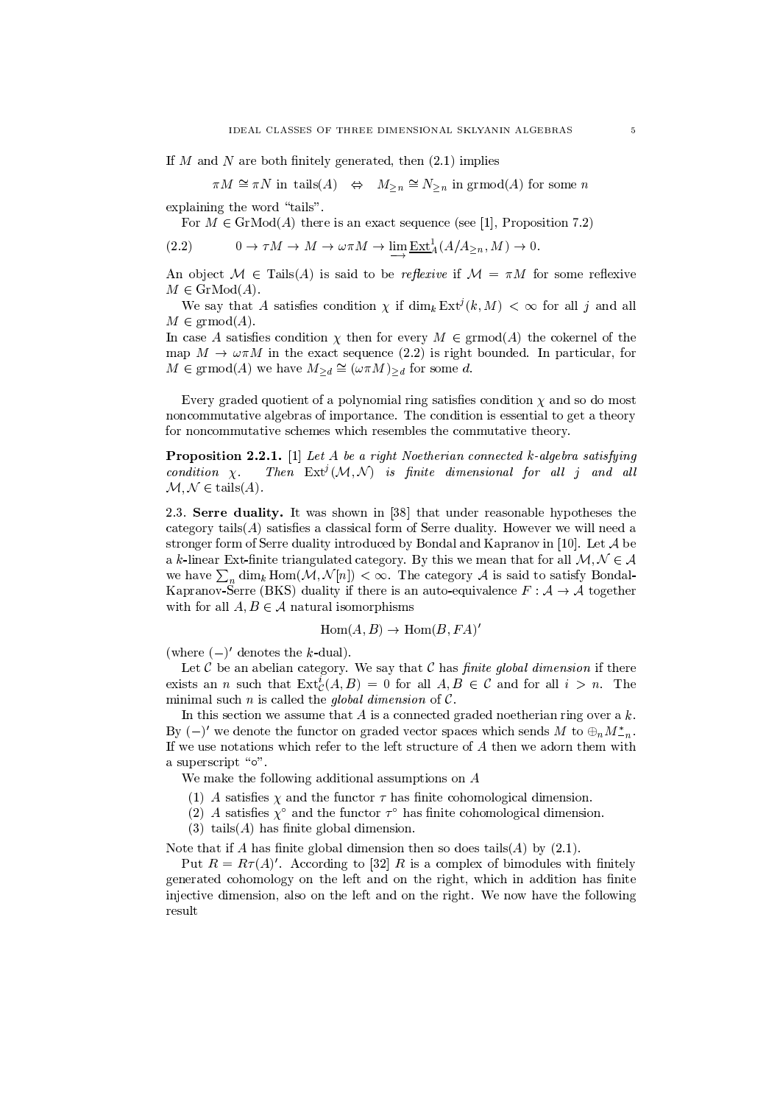If M and N are both finitely generated, then  $(2.1)$  implies

 $\pi M \cong \pi N$  in tails  $(A) \Leftrightarrow M_{\geq n} \cong N_{\geq n}$  in grmod  $(A)$  for some n

explaining the word "tails".

For  $M \in \text{GrMod}(A)$  there is an exact sequence (see [1], Proposition 7.2)

$$
(2.2) \t 0 \to \tau M \to M \to \omega \pi M \to \lim_{M \to \infty} \underline{\operatorname{Ext}}^1_A(A/A_{\geq n}, M) \to 0.
$$

An object  $\mathcal{M} \in \text{Tails}(A)$  is said to be *reflexive* if  $\mathcal{M} = \pi M$  for some reflexive  $M \in \mathrm{GrMod}(A)$ .

We say that A satisfies condition  $\chi$  if  $\dim_k \operatorname{Ext}^j(k,M) < \infty$  for all j and all  $M \in \mathrm{grmod}(A)$ .

In case A satisfies condition  $\chi$  then for every  $M \in \mathrm{grmod}(A)$  the cokernel of the map  $M \to \omega \pi M$  in the exact sequence (2.2) is right bounded. In particular, for  $M \in \mathrm{grmod}(A)$  we have  $M_{\geq d} \cong (\omega \pi M)_{\geq d}$  for some d.

Every graded quotient of a polynomial ring satisfies condition  $\chi$  and so do most noncommutative algebras of importance. The condition is essential to get a theory for noncommutative schemes which resembles the commutative theory.

**Proposition 2.2.1.** [1] Let A be a right Noetherian connected k-algebra satisfying Then  $Ext^{j}(\mathcal{M}, \mathcal{N})$  is finite dimensional for all j and all  $condition \chi.$  $\mathcal{M}, \mathcal{N} \in \text{tails}(A).$ 

2.3. Serre duality. It was shown in [38] that under reasonable hypotheses the category  $\text{tails}(A)$  satisfies a classical form of Serre duality. However we will need a stronger form of Serre duality introduced by Bondal and Kapranov in [10]. Let  $\mathcal A$  be a k-linear Ext-finite triangulated category. By this we mean that for all  $M, N \in \mathcal{A}$ we have  $\sum_{n} \dim_k \text{Hom}(\mathcal{M}, \mathcal{N}[n]) < \infty$ . The category A is said to satisfy Bondal-Kapranov-Serre (BKS) duality if there is an auto-equivalence  $F : A \rightarrow A$  together with for all  $A, B \in \mathcal{A}$  natural isomorphisms

$$
Hom(A, B) \to Hom(B, FA)'
$$

(where  $(-)'$  denotes the k-dual).

Let  $C$  be an abelian category. We say that  $C$  has *finite global dimension* if there exists an *n* such that  $\text{Ext}^i_{\mathcal{C}}(A, B) = 0$  for all  $A, B \in \mathcal{C}$  and for all  $i > n$ . The minimal such n is called the global dimension of  $\mathcal{C}$ .

In this section we assume that  $A$  is a connected graded noetherian ring over a  $k$ . By  $(-)'$  we denote the functor on graded vector spaces which sends M to  $\oplus_n M_{-n}^*$ . If we use notations which refer to the left structure of A then we adorn them with a superscript "o".

We make the following additional assumptions on A

- (1) A satisfies  $\chi$  and the functor  $\tau$  has finite cohomological dimension.
- (2) A satisfies  $\chi^{\circ}$  and the functor  $\tau^{\circ}$  has finite cohomological dimension.
- $(3)$  tails  $(A)$  has finite global dimension.

Note that if A has finite global dimension then so does tails  $(A)$  by  $(2.1)$ .

Put  $R = R\tau(A)'$ . According to [32] R is a complex of bimodules with finitely generated cohomology on the left and on the right, which in addition has finite injective dimension, also on the left and on the right. We now have the following result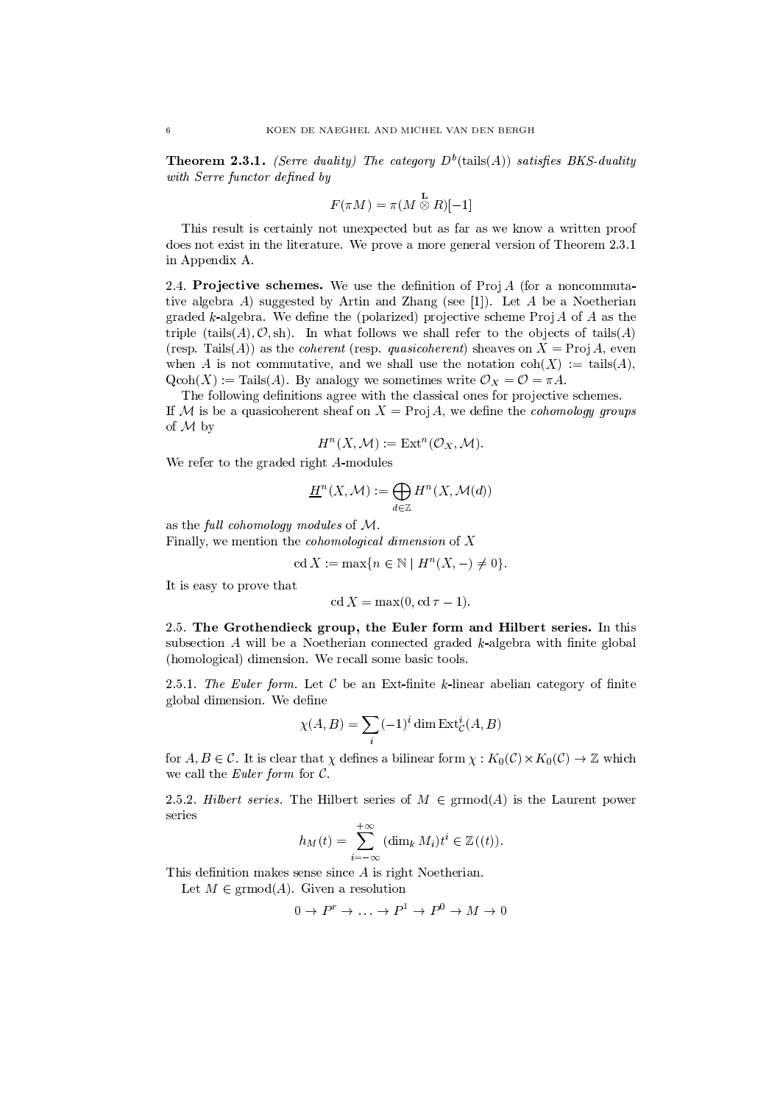**Theorem 2.3.1.** (Serre duality) The category  $D^b$ (tails(A)) satisfies BKS-duality with Serre functor defined by

$$
F(\pi M) = \pi (M \overset{\mathbf{L}}{\otimes} R)[-1]
$$

This result is certainly not unexpected but as far as we know a written proof does not exist in the literature. We prove a more general version of Theorem 2.3.1 in Appendix A.

2.4. Projective schemes. We use the definition of  $Proj A$  (for a noncommutative algebra  $A$ ) suggested by Artin and Zhang (see [1]). Let  $A$  be a Noetherian graded  $k$ -algebra. We define the (polarized) projective scheme  $Proj A$  of  $A$  as the triple (tails $(A), \mathcal{O}, \text{sh}$ ). In what follows we shall refer to the objects of tails  $(A)$ (resp. Tails(A)) as the *coherent* (resp. *quasicoherent*) sheaves on  $X = \text{Proj } A$ , even when A is not commutative, and we shall use the notation  $\text{coh}(X) := \text{tails}(A)$ ,  $Qcoh(X) := \text{Tails}(A)$ . By analogy we sometimes write  $\mathcal{O}_X = \mathcal{O} = \pi A$ .

The following definitions agree with the classical ones for projective schemes. If M is be a quasicoherent sheaf on  $X = Proj A$ , we define the *cohomology groups* of  $M$  by

$$
H^n(X, \mathcal{M}) := \text{Ext}^n(\mathcal{O}_X, \mathcal{M}).
$$

We refer to the graded right A-modules

$$
\underline{H}^n(X, \mathcal{M}) := \bigoplus_{d \in \mathbb{Z}} H^n(X, \mathcal{M}(d))
$$

as the full cohomology modules of  $M$ .

Finally, we mention the *cohomological dimension* of  $X$ 

$$
\operatorname{cd} X := \max\{n \in \mathbb{N} \mid H^n(X, -) \neq 0\}.
$$

It is easy to prove that

$$
cd X = \max(0, cd \tau - 1).
$$

2.5. The Grothendieck group, the Euler form and Hilbert series. In this subsection A will be a Noetherian connected graded  $k$ -algebra with finite global (homological) dimension. We recall some basic tools.

2.5.1. The Euler form. Let C be an Ext-finite k-linear abelian category of finite global dimension. We define

$$
\chi(A, B) = \sum_{i} (-1)^{i} \dim \operatorname{Ext}_{\mathcal{C}}^{i}(A, B)
$$

for  $A, B \in \mathcal{C}$ . It is clear that  $\chi$  defines a bilinear form  $\chi : K_0(\mathcal{C}) \times K_0(\mathcal{C}) \to \mathbb{Z}$  which we call the *Euler form* for  $C$ .

2.5.2. Hilbert series. The Hilbert series of  $M \in \mathrm{grmod}(A)$  is the Laurent power series

$$
h_M(t) = \sum_{i=-\infty}^{+\infty} (\dim_k M_i) t^i \in \mathbb{Z}((t)).
$$

This definition makes sense since  $A$  is right Noetherian.

Let  $M \in \mathrm{grmod}(A)$ . Given a resolution

$$
0 \to P^r \to \dots \to P^1 \to P^0 \to M \to 0
$$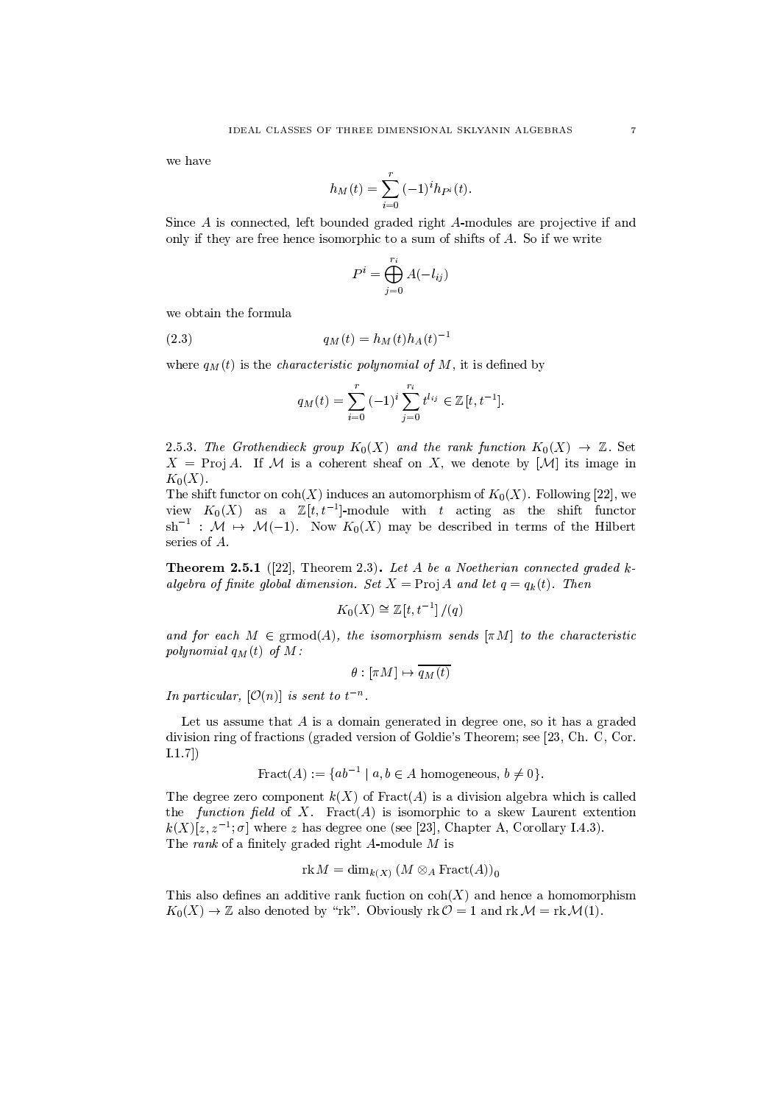we have

$$
h_M(t) = \sum_{i=0}^{r} (-1)^i h_{P^i}(t)
$$

Since A is connected, left bounded graded right A-modules are projective if and only if they are free hence isomorphic to a sum of shifts of A. So if we write

$$
P^i = \bigoplus_{j=0}^{r_i} A(-l_{ij})
$$

we obtain the formula

 $q_M(t) = h_M(t)h_A(t)^{-1}$  $(2.3)$ 

where  $q_M(t)$  is the *characteristic polynomial of* M, it is defined by

$$
q_M(t) = \sum_{i=0}^r (-1)^i \sum_{j=0}^{r_i} t^{l_{ij}} \in \mathbb{Z}[t, t^{-1}].
$$

2.5.3. The Grothendieck group  $K_0(X)$  and the rank function  $K_0(X) \to \mathbb{Z}$ . Set  $X = \text{Proj } A$ . If M is a coherent sheaf on X, we denote by [M] its image in  $K_0(X)$ .

The shift functor on  $\text{coh}(X)$  induces an automorphism of  $K_0(X)$ . Following [22], we view  $K_0(X)$  as a  $\mathbb{Z}[t,t^{-1}]$ -module with t acting as the shift functor  $\mathrm{sh}^{-1}$  :  $\mathcal{M} \mapsto \mathcal{M}(-1)$ . Now  $K_0(X)$  may be described in terms of the Hilbert series of  $A$ .

**Theorem 2.5.1** ([22], Theorem 2.3). Let A be a Noetherian connected graded kalgebra of finite global dimension. Set  $X = \text{Proj } A$  and let  $q = q_k(t)$ . Then

$$
K_0(X) \cong \mathbb{Z}[t, t^{-1}]/(q)
$$

and for each  $M \in \operatorname{grmod}(A)$ , the isomorphism sends  $[\pi M]$  to the characteristic polynomial  $q_M(t)$  of M:

$$
\theta : [\pi M] \mapsto \overline{q_M(t)}
$$

In particular,  $[O(n)]$  is sent to  $t^{-n}$ .

Let us assume that  $A$  is a domain generated in degree one, so it has a graded division ring of fractions (graded version of Goldie's Theorem; see [23, Ch. C, Cor.  $[1.1.7]$ 

$$
Fraction(A) := \{ ab^{-1} \mid a, b \in A \text{ homogeneous}, b \neq 0 \}.
$$

The degree zero component  $k(X)$  of Fract(A) is a division algebra which is called the *function field* of X. Fract(A) is isomorphic to a skew Laurent extention  $k(X)[z, z^{-1}; \sigma]$  where z has degree one (see [23], Chapter A, Corollary I.4.3). The rank of a finitely graded right  $A$ -module  $M$  is

$$
\text{rk } M = \dim_{k(X)} (M \otimes_A \text{Fract}(A))_0
$$

This also defines an additive rank fuction on  $\text{coh}(X)$  and hence a homomorphism  $K_0(X) \to \mathbb{Z}$  also denoted by "rk". Obviously rk  $\mathcal{O} = 1$  and rk  $\mathcal{M} = \text{rk } \mathcal{M}(1)$ .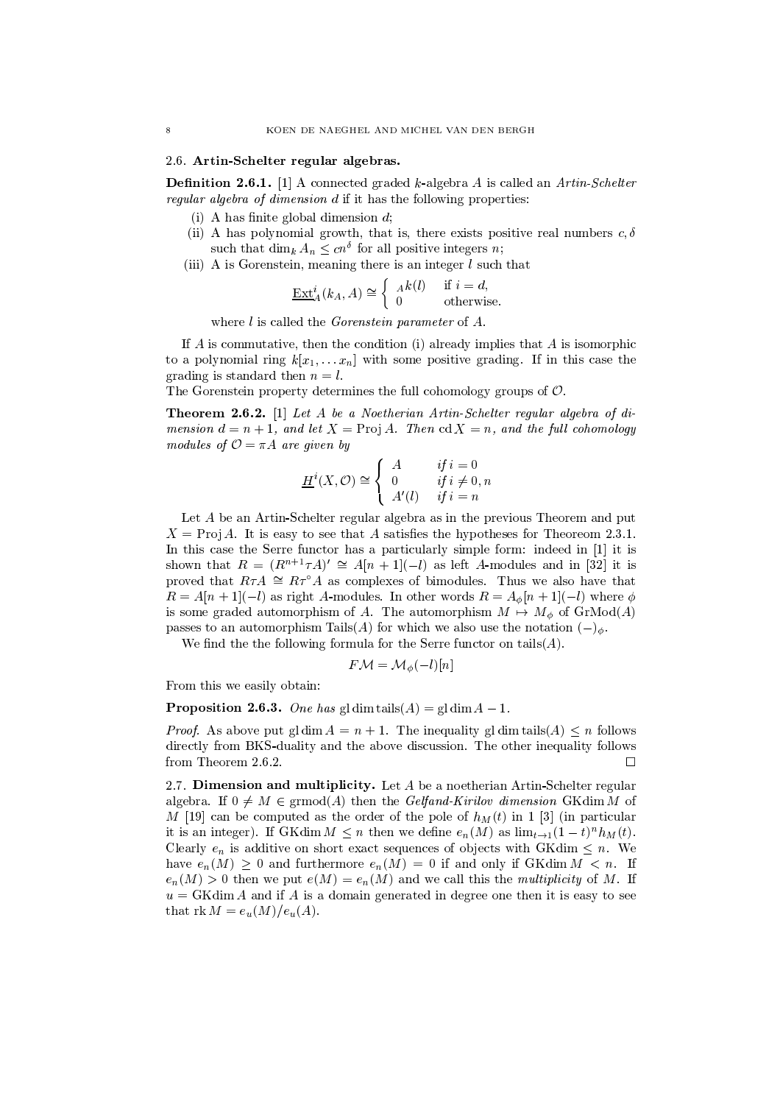### 2.6. Artin-Schelter regular algebras.

**Definition 2.6.1.** [1] A connected graded k-algebra A is called an Artin-Schelter *regular algebra of dimension d* if it has the following properties:

- (i) A has finite global dimension  $d$ ;
- (ii) A has polynomial growth, that is, there exists positive real numbers  $c, \delta$ such that dim<sub>k</sub>  $A_n \leq cn^{\delta}$  for all positive integers *n*;
- (iii) A is Gorenstein, meaning there is an integer  $l$  such that

$$
\underline{\operatorname{Ext}}_A^i(k_A, A) \cong \begin{cases} A^k(l) & \text{if } i = d, \\ 0 & \text{otherwise} \end{cases}
$$

where  $l$  is called the *Gorenstein parameter* of  $A$ .

If A is commutative, then the condition (i) already implies that A is isomorphic to a polynomial ring  $k[x_1,...x_n]$  with some positive grading. If in this case the erading is standard then  $n = l$ .

The Gorenstein property determines the full cohomology groups of  $\mathcal{O}$ .

**Theorem 2.6.2.** [1] Let A be a Noetherian Artin-Schelter regular algebra of dimension  $d = n + 1$ , and let  $X = \text{Proj } A$ . Then cd  $X = n$ , and the full cohomology modules of  $\mathcal{O} = \pi A$  are given by

$$
\underline{H}^i(X, \mathcal{O}) \cong \begin{cases} A & \text{if } i = 0 \\ 0 & \text{if } i \neq 0, n \\ A'(l) & \text{if } i = n \end{cases}
$$

Let A be an Artin-Schelter regular algebra as in the previous Theorem and put  $X = \text{Proj } A$ . It is easy to see that A satisfies the hypotheses for Theoreom 2.3.1. In this case the Serre functor has a particularly simple form: indeed in [1] it is shown that  $R = (R^{n+1}\tau A)' \cong A[n+1](-l)$  as left A-modules and in [32] it is proved that  $R\tau A \cong R\tau^{\circ} A$  as complexes of bimodules. Thus we also have that  $R = A[n+1](-l)$  as right A-modules. In other words  $R = A_{\phi}[n+1](-l)$  where  $\phi$ is some graded automorphism of A. The automorphism  $M \mapsto M_{\phi}$  of  $\operatorname{GrMod}(A)$ passes to an automorphism Tails(A) for which we also use the notation  $(-)_{\phi}$ .

We find the the following formula for the Serre functor on  $\text{tails}(A)$ .

$$
F\mathcal{M}=\mathcal{M}_{\phi}(-l)[n]
$$

From this we easily obtain:

**Proposition 2.6.3.** One has gl dim tails(A) = gl dim  $A - 1$ .

*Proof.* As above put gldim  $A = n + 1$ . The inequality gldim tails  $(A) \leq n$  follows directly from BKS-duality and the above discussion. The other inequality follows from Theorem 2.6.2.  $\Box$ 

2.7. Dimension and multiplicity. Let A be a noetherian Artin-Schelter regular algebra. If  $0 \neq M \in \text{grmod}(A)$  then the *Gelfand-Kirilov dimension* GKdim M of M [19] can be computed as the order of the pole of  $h<sub>M</sub>(t)$  in 1 [3] (in particular it is an integer). If GKdim  $M \leq n$  then we define  $e_n(M)$  as  $\lim_{t\to 1} (1-t)^n h_M(t)$ . Clearly  $e_n$  is additive on short exact sequences of objects with GKdim  $\leq n$ . We have  $e_n(M) > 0$  and furthermore  $e_n(M) = 0$  if and only if GKdim  $M < n$ . If  $e_n(M) > 0$  then we put  $e(M) = e_n(M)$  and we call this the multiplicity of M. If  $u = GK\dim A$  and if A is a domain generated in degree one then it is easy to see that rk  $M = e_u(M)/e_u(A)$ .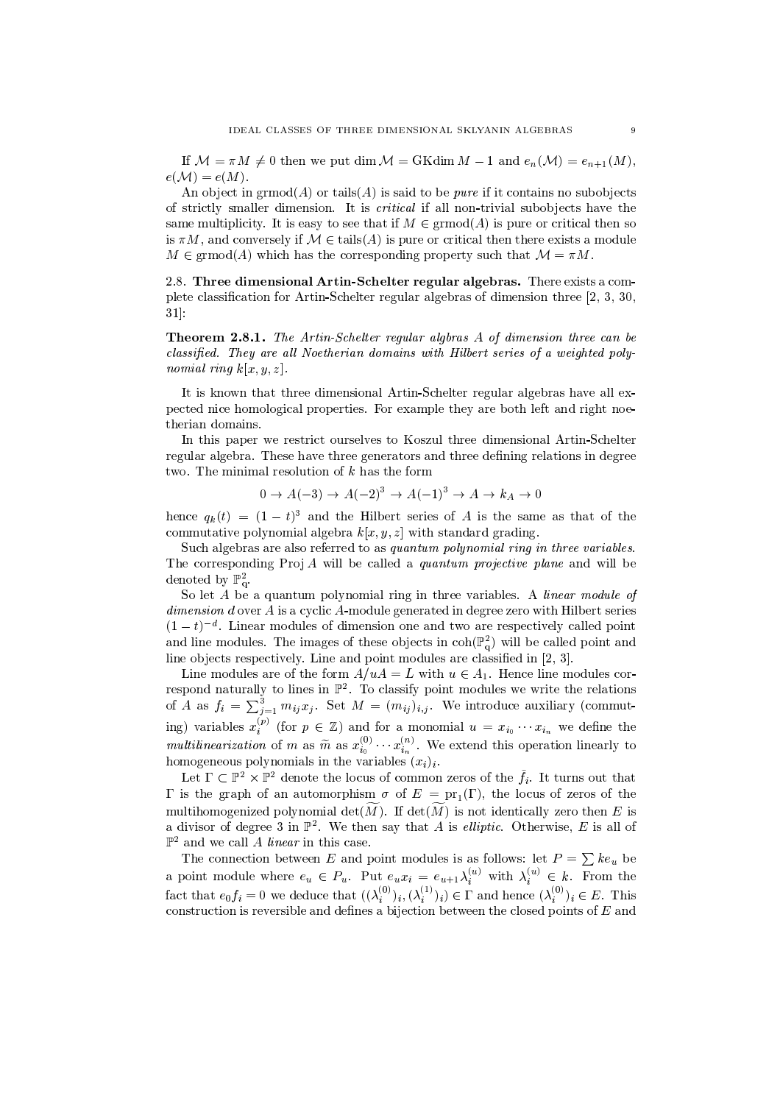If  $M = \pi M \neq 0$  then we put dim  $M = GK \dim M - 1$  and  $e_n(M) = e_{n+1}(M)$ ,  $e(M) = e(M)$ .

An object in  $\mathrm{grmod}(A)$  or tails (A) is said to be *pure* if it contains no subobjects of strictly smaller dimension. It is *critical* if all non-trivial subobjects have the same multiplicity. It is easy to see that if  $M \in \operatorname{grmod}(A)$  is pure or critical then so is  $\pi M$ , and conversely if  $\mathcal{M} \in \text{tails}(A)$  is pure or critical then there exists a module  $M \in \mathrm{grmod}(A)$  which has the corresponding property such that  $\mathcal{M} = \pi M$ .

2.8. Three dimensional Artin-Schelter regular algebras. There exists a complete classification for Artin-Schelter regular algebras of dimension three [2, 3, 30,  $31$ :

Theorem 2.8.1. The Artin-Schelter regular algbras A of dimension three can be classified. They are all Noetherian domains with Hilbert series of a weighted poly*nomial ring k[x, y, z].* 

It is known that three dimensional Artin-Schelter regular algebras have all expected nice homological properties. For example they are both left and right noetherian domains.

In this paper we restrict ourselves to Koszul three dimensional Artin-Schelter regular algebra. These have three generators and three defining relations in degree two. The minimal resolution of  $k$  has the form

$$
0 \to A(-3) \to A(-2)^3 \to A(-1)^3 \to A \to k_A \to 0
$$

hence  $q_k(t) = (1-t)^3$  and the Hilbert series of A is the same as that of the commutative polynomial algebra  $k[x, y, z]$  with standard grading.

Such algebras are also referred to as quantum polynomial ring in three variables. The corresponding  $Proj A$  will be called a *quantum projective plane* and will be denoted by  $\mathbb{P}^2_{\alpha}$ .

So let A be a quantum polynomial ring in three variables. A linear module of  $dimension\,d$  over  $A$  is a cyclic  $A$ -module generated in degree zero with Hilbert series  $(1-t)^{-d}$ . Linear modules of dimension one and two are respectively called point and line modules. The images of these objects in  $\text{coh}(\mathbb{P}_{q}^{2})$  will be called point and line objects respectively. Line and point modules are classified in  $[2, 3]$ .

Line modules are of the form  $A/uA = L$  with  $u \in A_1$ . Hence line modules correspond naturally to lines in  $\mathbb{P}^2$ . To classify point modules we write the relations of A as  $f_i = \sum_{j=1}^3 m_{ij} x_j$ . Set  $M = (m_{ij})_{i,j}$ . We introduce auxiliary (commuting) variables  $x_i^{(p)}$  (for  $p \in \mathbb{Z}$ ) and for a monomial  $u = x_{i_0} \cdots x_{i_n}$  we define the *multilinearization* of m as  $\widetilde{m}$  as  $x_{i_0}^{(0)} \cdots x_{i_n}^{(n)}$ . We extend this operation linearly to homogeneous polynomials in the variables  $(x_i)_i$ .

Let  $\Gamma \subset \mathbb{P}^2 \times \mathbb{P}^2$  denote the locus of common zeros of the  $\tilde{f}_i$ . It turns out that  $\Gamma$  is the graph of an automorphism  $\sigma$  of  $E = \text{pr}_1(\Gamma)$ , the locus of zeros of the multihomogenized polynomial  $\det(\widetilde{M})$ . If  $\det(\widetilde{M})$  is not identically zero then E is a divisor of degree 3 in  $\mathbb{P}^2$ . We then say that A is *elliptic*. Otherwise, E is all of  $\mathbb{P}^2$  and we call A linear in this case.

The connection between E and point modules is as follows: let  $P = \sum k e_u$  be a point module where  $e_u \in P_u$ . Put  $e_ux_i = e_{u+1} \lambda_i^{(u)}$  with  $\lambda_i^{(u)} \in k$ . From the fact that  $e_0 f_i = 0$  we deduce that  $((\lambda_i^{(0)})_i, (\lambda_i^{(1)})_i) \in \Gamma$  and hence  $(\lambda_i^{(0)})_i \in E$ . This construction is reversible and defines a bijection between the closed points of  $E$  and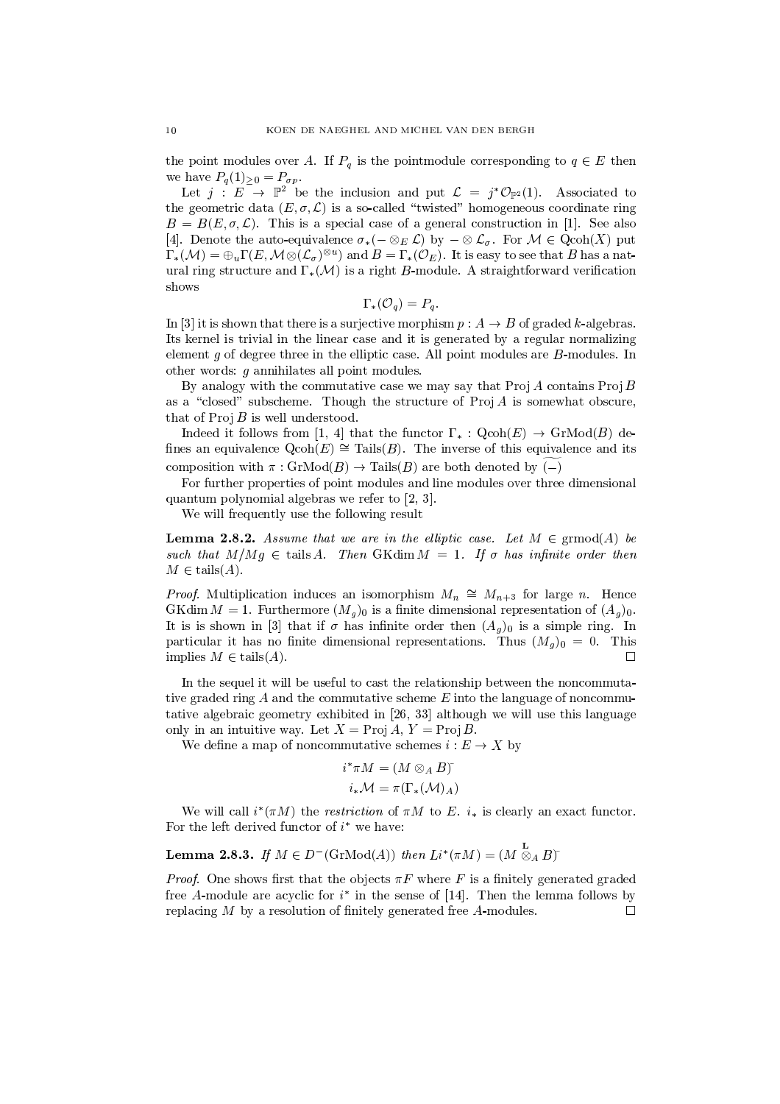the point modules over A. If  $P_q$  is the pointmodule corresponding to  $q \in E$  then we have  $P_q(1)_{\geq 0} = P_{\sigma p}$ .

Let  $j : E \rightarrow \mathbb{P}^2$  be the inclusion and put  $\mathcal{L} = j^* \mathcal{O}_{\mathbb{P}^2}(1)$ . Associated to the geometric data  $(E, \sigma, \mathcal{L})$  is a so-called "twisted" homogeneous coordinate ring  $B = B(E, \sigma, \mathcal{L})$ . This is a special case of a general construction in [1]. See also [4]. Denote the auto-equivalence  $\sigma_*(- \otimes_E \mathcal{L})$  by  $-\otimes \mathcal{L}_\sigma$ . For  $\mathcal{M} \in \text{Qcoh}(X)$  put  $\Gamma_*(\mathcal{M}) = \bigoplus_u \Gamma(E, \mathcal{M} \otimes (\mathcal{L}_{\sigma})^{\otimes u})$  and  $B = \Gamma_*(\mathcal{O}_E)$ . It is easy to see that B has a natural ring structure and  $\Gamma_*(\mathcal{M})$  is a right B-module. A straightforward verification shows

$$
\Gamma_*(\mathcal{O}_q)=P_q
$$

In [3] it is shown that there is a surjective morphism  $p: A \rightarrow B$  of graded k-algebras. Its kernel is trivial in the linear case and it is generated by a regular normalizing element  $g$  of degree three in the elliptic case. All point modules are  $B$ -modules. In other words:  $g$  annihilates all point modules.

By analogy with the commutative case we may say that  $\text{Proj } A$  contains  $\text{Proj } B$ as a "closed" subscheme. Though the structure of  $Proj A$  is somewhat obscure, that of  $\text{Proj } B$  is well understood.

Indeed it follows from [1, 4] that the functor  $\Gamma_* : \text{Qcoh}(E) \to \text{GrMod}(B)$  defines an equivalence  $Qcoh(E) \cong$  Tails(B). The inverse of this equivalence and its composition with  $\pi$ :  $GrMod(B) \to Tails(B)$  are both denoted by (-)

For further properties of point modules and line modules over three dimensional quantum polynomial algebras we refer to  $[2, 3]$ .

We will frequently use the following result

**Lemma 2.8.2.** Assume that we are in the elliptic case. Let  $M \in \mathrm{grmod}(A)$  be such that  $M/Mg \in \text{tails } A$ . Then GKdim  $M = 1$ . If  $\sigma$  has infinite order then  $M \in \text{tails}(A)$ .

*Proof.* Multiplication induces an isomorphism  $M_n \cong M_{n+3}$  for large n. Hence GKdim  $M = 1$ . Furthermore  $(M_g)_0$  is a finite dimensional representation of  $(A_g)_0$ . It is is shown in [3] that if  $\sigma$  has infinite order then  $(A_q)_0$  is a simple ring. In particular it has no finite dimensional representations. Thus  $(M_q)_0 = 0$ . This implies  $M \in \text{tails}(A)$ .  $\Box$ 

In the sequel it will be useful to cast the relationship between the noncommutative graded ring  $A$  and the commutative scheme  $E$  into the language of noncommutative algebraic geometry exhibited in [26, 33] although we will use this language only in an intuitive way. Let  $X = \text{Proj } A$ ,  $Y = \text{Proj } B$ .

We define a map of noncommutative schemes  $i : E \to X$  by

$$
i^*\pi M = (M \otimes_A B)^*
$$
  

$$
i_*\mathcal{M} = \pi(\Gamma_*(\mathcal{M})_A)
$$

We will call  $i^*(\pi M)$  the restriction of  $\pi M$  to E.  $i_*$  is clearly an exact functor. For the left derived functor of  $i^*$  we have:

 $\ddot{\phantom{0}}$ 

**Lemma 2.8.3.** If 
$$
M \in D^{-}(G \cap \text{Mod}(A))
$$
 then  $Li^{*}(\pi M) = (M \overset{\sim}{\otimes}_{A} B)^{*}$ 

*Proof.* One shows first that the objects  $\pi F$  where F is a finitely generated graded free A-module are acyclic for  $i^*$  in the sense of [14]. Then the lemma follows by replacing  $M$  by a resolution of finitely generated free  $A$ -modules.  $\Box$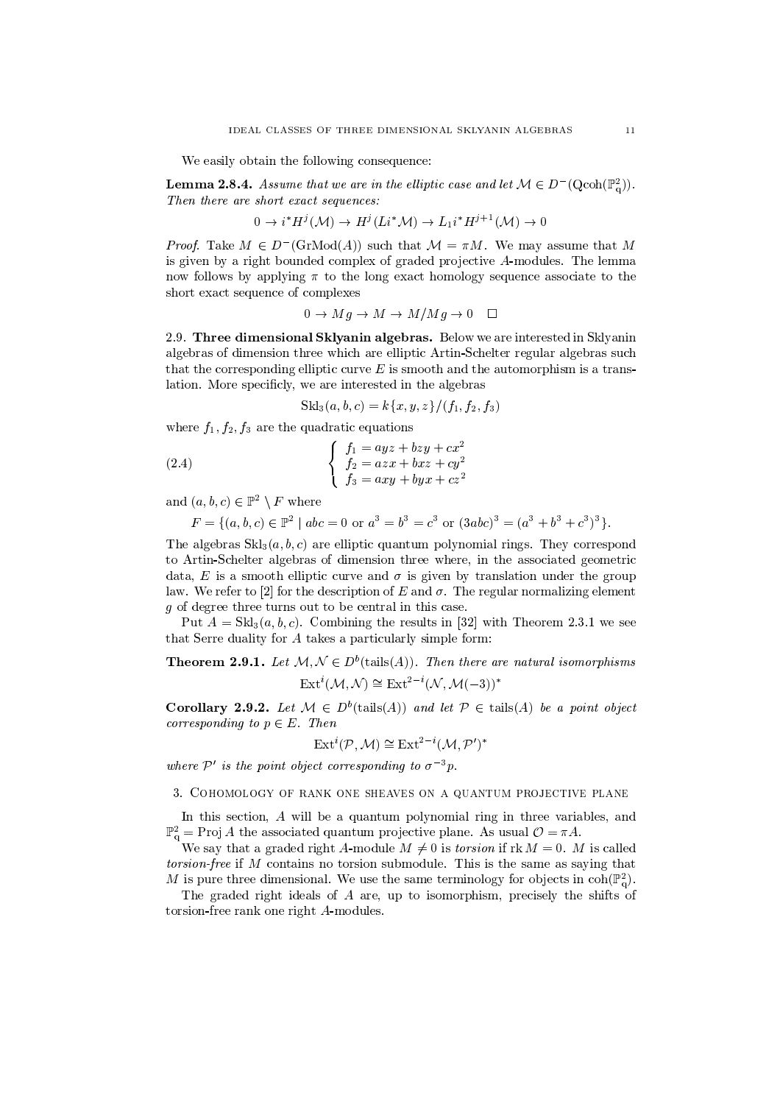We easily obtain the following consequence:

**Lemma 2.8.4.** Assume that we are in the elliptic case and let  $M \in D^{-1}(\text{Qcoh}(\mathbb{P}_{q}^{2}))$ . Then there are short exact sequences:

$$
0 \to i^* H^j(\mathcal{M}) \to H^j(Li^*\mathcal{M}) \to L_1 i^* H^{j+1}(\mathcal{M}) \to 0
$$

*Proof.* Take  $M \in D^{-1}(\mathrm{GrMod}(A))$  such that  $\mathcal{M} = \pi M$ . We may assume that M is given by a right bounded complex of graded projective A-modules. The lemma now follows by applying  $\pi$  to the long exact homology sequence associate to the short exact sequence of complexes

$$
0 \to Mg \to M \to M/Mg \to 0 \quad \Box
$$

2.9. Three dimensional Sklyanin algebras. Below we are interested in Sklyanin algebras of dimension three which are elliptic Artin-Schelter regular algebras such that the corresponding elliptic curve  $E$  is smooth and the automorphism is a translation. More specificly, we are interested in the algebras

$$
Skl_3(a, b, c) = k\{x, y, z\}/(f_1, f_2, f_3)
$$

where  $f_1, f_2, f_3$  are the quadratic equations

(2.4) 
$$
\begin{cases}\nf_1 = ayz + bzy + cx^2 \\
f_2 = azx + bxz + cy^2 \\
f_3 = axy + byx + cz^2\n\end{cases}
$$

and  $(a,b,c) \in \mathbb{P}^2 \setminus F$  where

 $F = \{(a, b, c) \in \mathbb{P}^2 \mid abc = 0 \text{ or } a^3 = b^3 = c^3 \text{ or } (3abc)^3 = (a^3 + b^3 + c^3)^3 \}.$ 

The algebras  $Skl_3(a, b, c)$  are elliptic quantum polynomial rings. They correspond to Artin-Schelter algebras of dimension three where, in the associated geometric data, E is a smooth elliptic curve and  $\sigma$  is given by translation under the group law. We refer to [2] for the description of E and  $\sigma$ . The regular normalizing element  $g$  of degree three turns out to be central in this case.

Put  $A = Skl_3(a, b, c)$ . Combining the results in [32] with Theorem 2.3.1 we see that Serre duality for A takes a particularly simple form:

**Theorem 2.9.1.** Let  $M, N \in D^b$  (tails (A)). Then there are natural isomorphisms  $\text{Ext}^i(\mathcal{M}, \mathcal{N}) \cong \text{Ext}^{2-i}(\mathcal{N}, \mathcal{M}(-3))^*$ 

**Corollary 2.9.2.** Let  $M \in D^b$  (tails (A)) and let  $P \in$  tails (A) be a point object *corresponding to*  $p \in E$ . Then

$$
\operatorname{Ext}^i(\mathcal{P},\mathcal{M}) \cong \operatorname{Ext}^{2-i}(\mathcal{M},\mathcal{P}')^*
$$

where  $\mathcal{P}'$  is the point object corresponding to  $\sigma^{-3}p$ .

3. COHOMOLOGY OF RANK ONE SHEAVES ON A QUANTUM PROJECTIVE PLANE

In this section,  $A$  will be a quantum polynomial ring in three variables, and  $\mathbb{P}_{q}^{2}$  = Proj A the associated quantum projective plane. As usual  $\mathcal{O} = \pi A$ .

We say that a graded right A-module  $M \neq 0$  is *torsion* if  $\text{rk } M = 0$ . M is called *torsion-free* if M contains no torsion submodule. This is the same as saying that M is pure three dimensional. We use the same terminology for objects in  $\text{coh}(\mathbb{P}_{q}^{2})$ .

The graded right ideals of  $A$  are, up to isomorphism, precisely the shifts of torsion-free rank one right A-modules.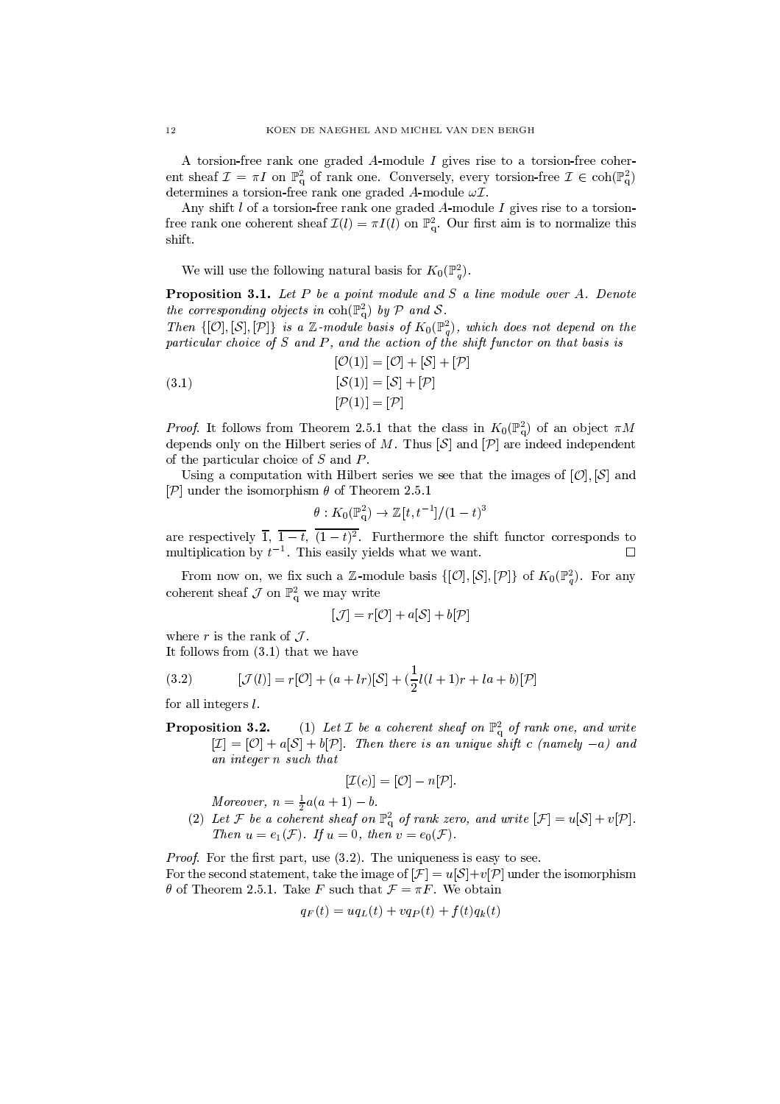A torsion-free rank one graded A-module I gives rise to a torsion-free coherent sheaf  $\mathcal{I} = \pi I$  on  $\mathbb{P}^2_q$  of rank one. Conversely, every torsion-free  $\mathcal{I} \in \text{coh}(\mathbb{P}^2_q)$ determines a torsion-free rank one graded A-module  $\omega\mathcal{I}.$ 

Any shift  $l$  of a torsion-free rank one graded  $A$ -module  $I$  gives rise to a torsionfree rank one coherent sheaf  $\mathcal{I}(l) = \pi I(l)$  on  $\mathbb{P}^2_{q}$ . Our first aim is to normalize this shift.

We will use the following natural basis for  $K_0(\mathbb{P}_q^2)$ .

**Proposition 3.1.** Let  $P$  be a point module and  $S$  a line module over  $A$ . Denote the corresponding objects in  $\text{coh}(\mathbb{P}_{q}^{2})$  by  $P$  and  $S$ .

Then  $\{[\mathcal{O}], [\mathcal{S}], [\mathcal{P}]\}$  is a Z-module basis of  $K_0(\mathbb{P}_q^2)$ , which does not depend on the particular choice of  $S$  and  $P$ , and the action of the shift functor on that basis is  $[O(1)] = [O] + [S] + [P]$ 

(3.1)  
\n
$$
[\mathcal{S}(1)] = [\mathcal{S}] + [\mathcal{P}]
$$
\n
$$
[\mathcal{P}(1)] = [\mathcal{P}]
$$

*Proof.* It follows from Theorem 2.5.1 that the class in  $K_0(\mathbb{P}_q^2)$  of an object  $\pi M$ depends only on the Hilbert series of M. Thus  $\mathcal{S}$  and  $\mathcal{P}$  are indeed independent of the particular choice of  $S$  and  $P$ .

Using a computation with Hilbert series we see that the images of  $[O], [S]$  and  $[\mathcal{P}]$  under the isomorphism  $\theta$  of Theorem 2.5.1

$$
\theta: K_0(\mathbb{P}_q^2) \to \mathbb{Z}[t, t^{-1}]/(1-t)^3
$$

are respectively  $\overline{1}$ ,  $\overline{1-t}$ ,  $\overline{(1-t)^2}$ . Furthermore the shift functor corresponds to multiplication by  $t^{-1}$ . This easily yields what we want.  $\Box$ 

From now on, we fix such a Z-module basis  $\{[0],[S],[P]\}$  of  $K_0(\mathbb{P}^2_q)$ . For any coherent sheaf  $\mathcal J$  on  $\mathbb P^2_q$  we may write

$$
\mathcal{J}]=r[\mathcal{O}]+a[\mathcal{S}]+b[\mathcal{P}]
$$

where r is the rank of  $\mathcal{J}$ .

It follows from  $(3.1)$  that we have

(3.2) 
$$
[\mathcal{J}(l)] = r[\mathcal{O}] + (a + lr)[\mathcal{S}] + (\frac{1}{2}l(l+1)r + la + b)[\mathcal{P}]
$$

for all integers  $l$ .

sition 3.2. (1) Let  $\mathcal I$  be a coherent sheaf on  $\mathbb{P}^2_q$  of rank one, and write  $[\mathcal I] = [\mathcal O] + a[\mathcal S] + b[\mathcal P]$ . Then there is an unique shift c (namely  $-a$ ) and Proposition 3.2. an integer n such that

$$
[\mathcal{I}(c)] = [\mathcal{O}] - n[\mathcal{P}].
$$

Moreover,  $n = \frac{1}{2}a(a+1) - b$ .<br>
(2) Let  $\mathcal F$  be a coherent sheaf on  $\mathbb{P}^2_q$  of rank zero, and write  $[\mathcal F] = u[\mathcal S] + v[\mathcal P]$ .<br>
Then  $u = e_1(\mathcal F)$ . If  $u = 0$ , then  $v = e_0(\mathcal F)$ .

*Proof.* For the first part, use  $(3.2)$ . The uniqueness is easy to see. For the second statement, take the image of  $[\mathcal{F}] = u[\mathcal{S}] + v[\mathcal{P}]$  under the isomorphism  $\theta$  of Theorem 2.5.1. Take F such that  $\mathcal{F} = \pi F$ . We obtain

$$
q_F(t) = uq_L(t) + vq_P(t) + f(t)q_k(t)
$$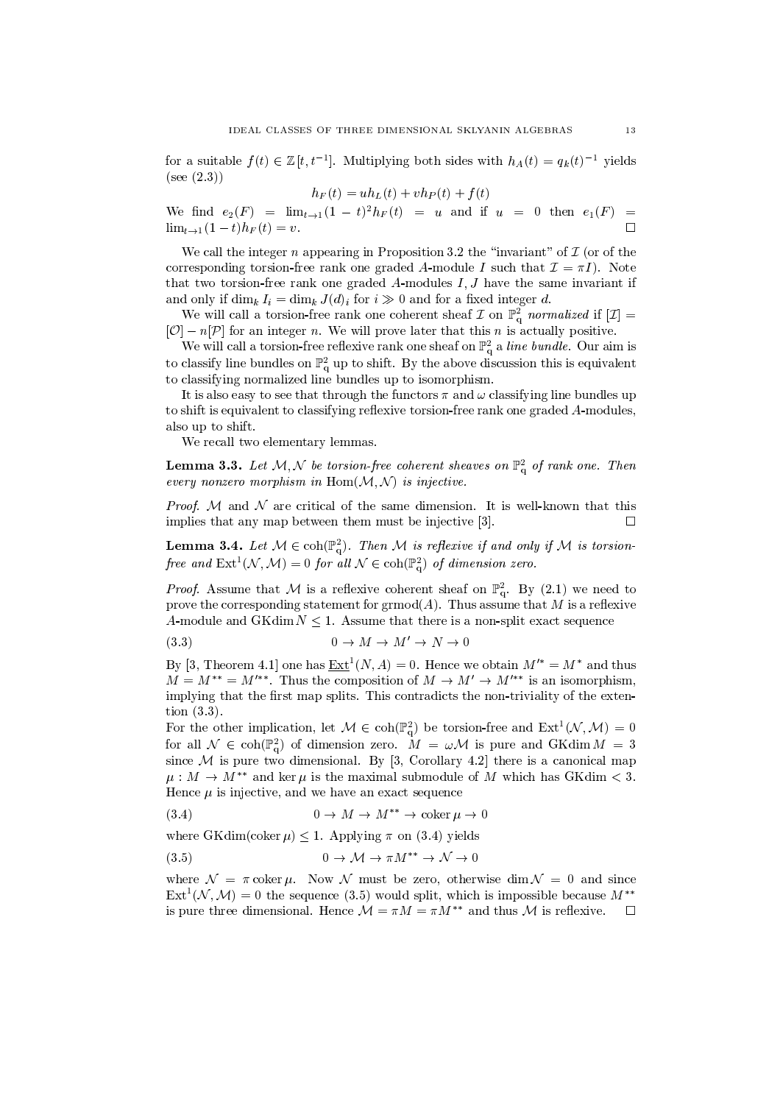for a suitable  $f(t) \in \mathbb{Z}[t, t^{-1}]$ . Multiplying both sides with  $h_A(t) = q_k(t)^{-1}$  yields  $(see (2.3))$ 

$$
h_F(t) = uh_L(t) + vh_P(t) + f(t)
$$

We find  $e_2(F) = \lim_{t \to 1} (1-t)^2 h_F(t) = u$  and if  $u = 0$  then  $e_1(F) =$  $\lim_{t \to 1} (1 - t) h_F(t) = v.$  $\Box$ 

We call the integer  $n$  appearing in Proposition 3.2 the "invariant" of  $\mathcal I$  (or of the corresponding torsion-free rank one graded A-module I such that  $\mathcal{I} = \pi I$ . Note that two torsion-free rank one graded A-modules  $I, J$  have the same invariant if and only if  $\dim_k I_i = \dim_k J(d)_i$  for  $i \gg 0$  and for a fixed integer d.

We will call a torsion-free rank one coherent sheaf  $\mathcal I$  on  $\mathbb P_q^2$  normalized if  $[\mathcal I]=$  $[O] - n[\mathcal{P}]$  for an integer *n*. We will prove later that this *n* is actually positive.

We will call a torsion-free reflexive rank one sheaf on  $\mathbb{P}^2_q$  a line bundle. Our aim is to classify line bundles on  $\mathbb{P}^2_q$  up to shift. By the above discussion this is equivalent to classifying normalized line bundles up to isomorphism.

It is also easy to see that through the functors  $\pi$  and  $\omega$  classifying line bundles up to shift is equivalent to classifying reflexive torsion-free rank one graded A-modules, also up to shift.

We recall two elementary lemmas.

**Lemma 3.3.** Let  $M, N$  be torsion-free coherent sheaves on  $\mathbb{P}^2$  of rank one. Then every nonzero morphism in  $Hom(M, N)$  is injective.

*Proof.* M and N are critical of the same dimension. It is well-known that this implies that any map between them must be injective [3].  $\Box$ 

**Lemma 3.4.** Let  $M \in \text{coh}(\mathbb{P}_q^2)$ . Then M is reflexive if and only if M is torsionfree and  $\text{Ext}^1(\mathcal{N}, \mathcal{M}) = 0$  for all  $\mathcal{N} \in \text{coh}(\mathbb{P}^2)$  of dimension zero.

*Proof.* Assume that M is a reflexive coherent sheaf on  $\mathbb{P}^2_q$ . By (2.1) we need to prove the corresponding statement for  $\mathrm{grmod}(A)$ . Thus assume that M is a reflexive A-module and GKdim  $N \leq 1$ . Assume that there is a non-split exact sequence

$$
(3.3) \t\t 0 \to M \to M' \to N \to 0
$$

By [3, Theorem 4.1] one has  $\underline{\operatorname{Ext}}^1(N,A)=0$ . Hence we obtain  $M'^*=M^*$  and thus  $M = M^{**} = M'^{**}$ . Thus the composition of  $M \to M' \to M'^{**}$  is an isomorphism, implying that the first map splits. This contradicts the non-triviality of the extention  $(3.3)$ .

For the other implication, let  $\mathcal{M} \in \text{coh}(\mathbb{P}_{q}^{2})$  be torsion-free and  $\text{Ext}^{1}(\mathcal{N}, \mathcal{M}) = 0$ for all  $\mathcal{N} \in \text{coh}(\mathbb{P}_{q}^{2})$  of dimension zero.  $M = \omega \mathcal{M}$  is pure and GKdim  $M = 3$ since M is pure two dimensional. By [3, Corollary 4.2] there is a canonical map  $\mu : M \to M^{**}$  and ker  $\mu$  is the maximal submodule of M which has GKdim < 3. Hence  $\mu$  is injective, and we have an exact sequence

$$
(3.4) \t\t 0 \to M \to M^{**} \to \text{coker } \mu \to 0
$$

where GKdim(coker  $\mu$ )  $\leq$  1. Applying  $\pi$  on (3.4) yields

$$
(3.5) \t\t 0 \to \mathcal{M} \to \pi M^{**} \to \mathcal{N} \to 0
$$

where  $\mathcal{N} = \pi \coker \mu$ . Now N must be zero, otherwise dim  $\mathcal{N} = 0$  and since  $\text{Ext}^{1}(\mathcal{N},\mathcal{M})=0$  the sequence (3.5) would split, which is impossible because  $M^{**}$ is pure three dimensional. Hence  $\mathcal{M} = \pi M = \pi M^{**}$  and thus M is reflexive.  $\Box$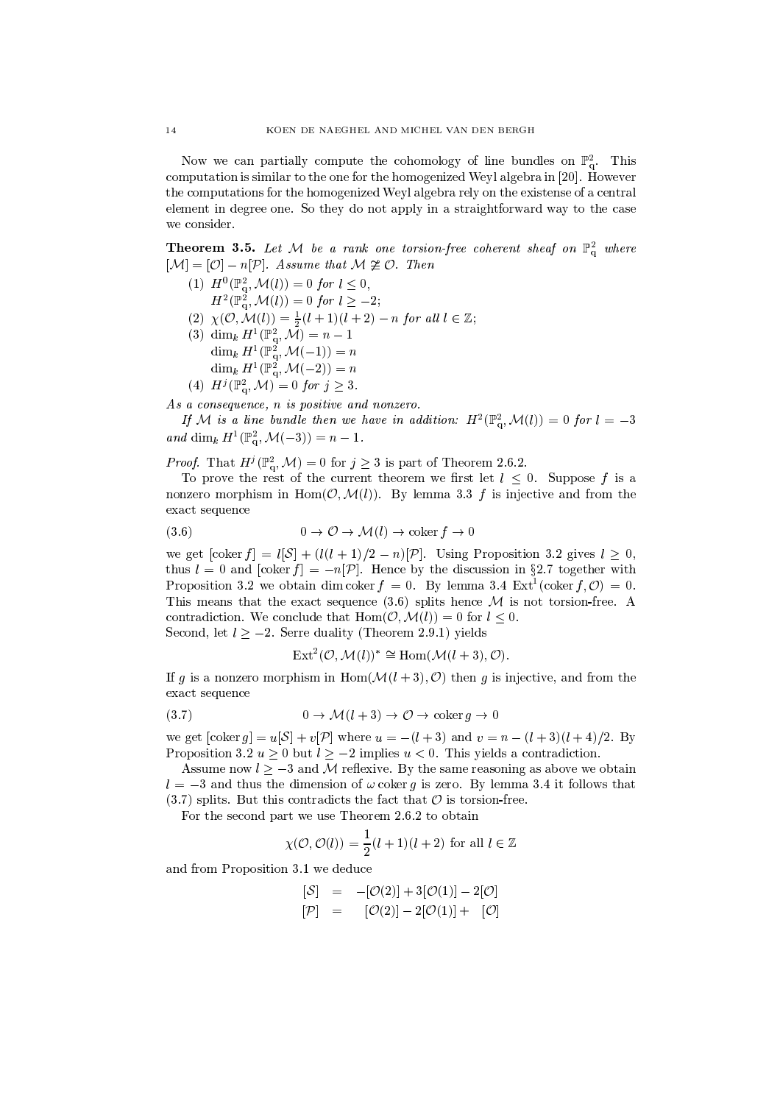Now we can partially compute the cohomology of line bundles on  $\mathbb{P}^2_{q}$ . This computation is similar to the one for the homogenized Weyl algebra in [20]. However the computations for the homogenized Weyl algebra rely on the existense of a central element in degree one. So they do not apply in a straightforward way to the case we consider.

**Theorem 3.5.** Let M be a rank one torsion-free coherent sheaf on  $\mathbb{P}^2_q$  where  $[\mathcal{M}] = [\mathcal{O}] - n[\mathcal{P}]$ . Assume that  $\mathcal{M} \not\cong \mathcal{O}$ . Then

- (1)  $H^0(\mathbb{P}^2_q, \mathcal{M}(l)) = 0$  for  $l \leq 0$ ,  $H^2(\mathbb{P}_q^2, \mathcal{M}(l)) = 0$  for  $l \geq -2$ ;
- (2)  $\chi(\mathcal{O},\mathcal{M}(l)) = \frac{1}{2}(l+1)(l+2) n$  for all  $l \in \mathbb{Z}$ ;
- (3)  $\dim_k H^1(\mathbb{P}_q^2, \mathcal{M}) = n 1$ <br>  $\dim_k H^1(\mathbb{P}_q^2, \mathcal{M}(-1)) = n$ <br>  $\dim_k H^1(\mathbb{P}_q^2, \mathcal{M}(-2)) = n$
- (4)  $H^j(\mathbb{P}^2_q, \mathcal{M}) = 0$  for  $j \geq 3$ .

As a consequence, n is positive and nonzero.

If M is a line bundle then we have in addition:  $H^2(\mathbb{P}^2_\alpha,\mathcal{M}(l))=0$  for  $l=-3$ and dim<sub>k</sub>  $H^1(\mathbb{P}^2_\alpha, \mathcal{M}(-3)) = n - 1$ .

*Proof.* That  $H^j(\mathbb{P}_q^2, \mathcal{M}) = 0$  for  $j \geq 3$  is part of Theorem 2.6.2.

To prove the rest of the current theorem we first let  $l \leq 0$ . Suppose f is a nonzero morphism in  $Hom(\mathcal{O}, \mathcal{M}(l))$ . By lemma 3.3 f is injective and from the exact sequence

$$
(3.6) \t\t 0 \to \mathcal{O} \to \mathcal{M}(l) \to \text{coker } f \to 0
$$

we get  $[\text{coker } f] = l[S] + (l(l+1)/2 - n)[P]$ . Using Proposition 3.2 gives  $l \geq 0$ , thus  $l = 0$  and  $[\text{coker } f] = -n[\mathcal{P}]$ . Hence by the discussion in §2.7 together with Proposition 3.2 we obtain dim coker  $f = 0$ . By lemma 3.4 Ext<sup>1</sup> (coker  $f, O$ ) = 0. This means that the exact sequence  $(3.6)$  splits hence M is not torsion-free. A contradiction. We conclude that  $\text{Hom}(\mathcal{O},\mathcal{M}(l))=0$  for  $l<0$ . Second, let  $l > -2$ . Serre duality (Theorem 2.9.1) yields

 $\text{Ext}^2(\mathcal{O},\mathcal{M}(l))^* \cong \text{Hom}(\mathcal{M}(l+3),\mathcal{O}).$ 

If g is a nonzero morphism in Hom $(\mathcal{M}(l+3), \mathcal{O})$  then g is injective, and from the exact sequence

$$
(3.7) \t\t 0 \to \mathcal{M}(l+3) \to \mathcal{O} \to \text{coker } g \to 0
$$

we get  $[coler g] = u[S] + v[\mathcal{P}]$  where  $u = -(l + 3)$  and  $v = n - (l + 3)(l + 4)/2$ . By Proposition 3.2  $u > 0$  but  $l > -2$  implies  $u < 0$ . This yields a contradiction.

Assume now  $l > -3$  and M reflexive. By the same reasoning as above we obtain  $l = -3$  and thus the dimension of  $\omega$  coker q is zero. By lemma 3.4 it follows that  $(3.7)$  splits. But this contradicts the fact that  $\mathcal O$  is torsion-free.

For the second part we use Theorem 2.6.2 to obtain

$$
\chi(\mathcal{O}, \mathcal{O}(l)) = \frac{1}{2}(l+1)(l+2) \text{ for all } l \in \mathbb{Z}
$$

and from Proposition 3.1 we deduce

$$
[\mathcal{S}] = -[\mathcal{O}(2)] + 3[\mathcal{O}(1)] - 2[\mathcal{O}]
$$
  

$$
[\mathcal{P}] = [\mathcal{O}(2)] - 2[\mathcal{O}(1)] + [\mathcal{O}]
$$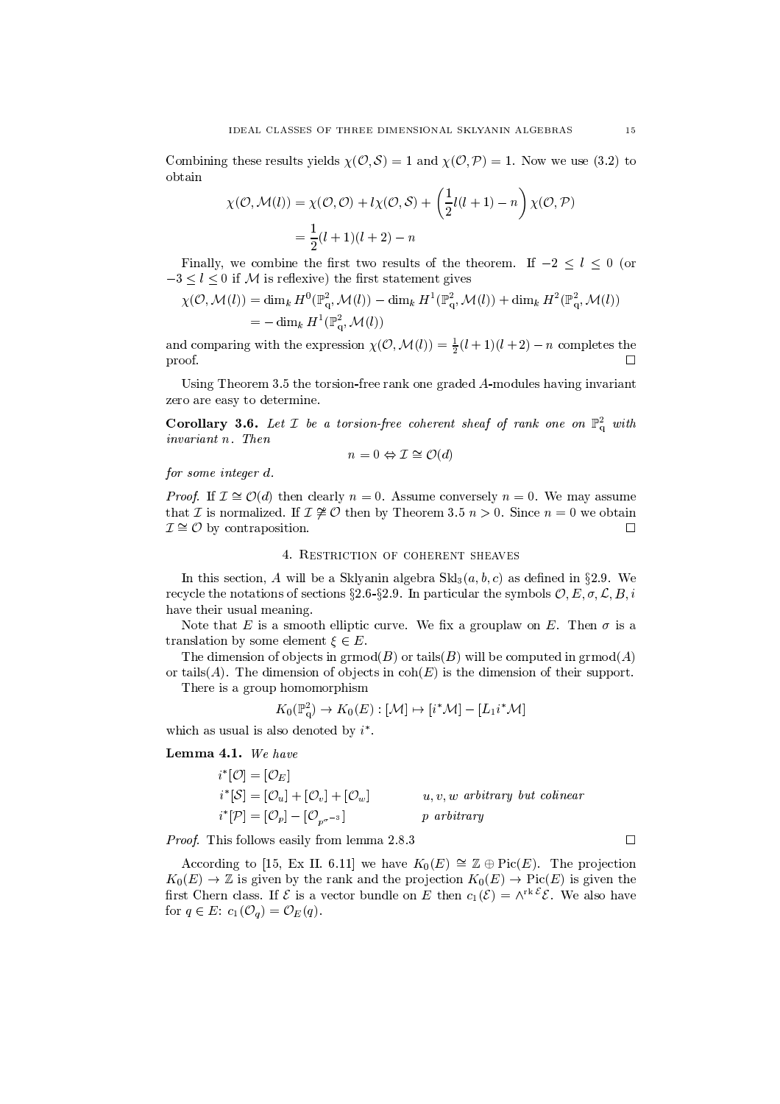Combining these results yields  $\chi(\mathcal{O}, \mathcal{S}) = 1$  and  $\chi(\mathcal{O}, \mathcal{P}) = 1$ . Now we use (3.2) to obtain

$$
\chi(\mathcal{O}, \mathcal{M}(l)) = \chi(\mathcal{O}, \mathcal{O}) + l\chi(\mathcal{O}, \mathcal{S}) + \left(\frac{1}{2}l(l+1) - n\right)\chi(\mathcal{O}, \mathcal{P})
$$

$$
= \frac{1}{2}(l+1)(l+2) - n
$$

Finally, we combine the first two results of the theorem. If  $-2 \leq l \leq 0$  (or  $-3 \leq l \leq 0$  if M is reflexive) the first statement gives

$$
\chi(\mathcal{O},\mathcal{M}(l)) = \dim_k H^0(\mathbb{P}_q^2,\mathcal{M}(l)) - \dim_k H^1(\mathbb{P}_q^2,\mathcal{M}(l)) + \dim_k H^2(\mathbb{P}_q^2,\mathcal{M}(l))
$$
  
=  $-\dim_k H^1(\mathbb{P}_q^2,\mathcal{M}(l))$ 

and comparing with the expression  $\chi(\mathcal{O}, \mathcal{M}(l)) = \frac{1}{2}(l+1)(l+2) - n$  completes the proof.  $\Box$ 

Using Theorem 3.5 the torsion-free rank one graded A-modules having invariant zero are easy to determine.

**Corollary 3.6.** Let  $\mathcal{I}$  be a torsion-free coherent sheaf of rank one on  $\mathbb{P}^2$  with invariant n. Then

$$
n=0 \Leftrightarrow \mathcal{I} \cong \mathcal{O}(d)
$$

for some integer d.

*Proof.* If  $\mathcal{I} \cong \mathcal{O}(d)$  then clearly  $n = 0$ . Assume conversely  $n = 0$ . We may assume that *I* is normalized. If  $I \not\cong \mathcal{O}$  then by Theorem 3.5  $n > 0$ . Since  $n = 0$  we obtain  $\mathcal{I} \cong \mathcal{O}$  by contraposition.  $\Box$ 

4. RESTRICTION OF COHERENT SHEAVES

In this section, A will be a Sklyanin algebra  $\text{Skl}_3(a, b, c)$  as defined in §2.9. We recycle the notations of sections §2.6-§2.9. In particular the symbols  $\mathcal{O}, E, \sigma, \mathcal{L}, B, i$ have their usual meaning.

Note that E is a smooth elliptic curve. We fix a grouplaw on E. Then  $\sigma$  is a translation by some element  $\xi \in E$ .

The dimension of objects in  $\mathrm{grmod}(B)$  or tails(B) will be computed in  $\mathrm{grmod}(A)$ or tails(A). The dimension of objects in  $coh(E)$  is the dimension of their support.

There is a group homomorphism

$$
K_0(\mathbb{P}^2_q)\to K_0(E): [\mathcal{M}]\mapsto [i^*\mathcal{M}]-[L_1i^*\mathcal{M}]
$$

which as usual is also denoted by  $i^*$ .

Lemma 4.1. We have

$$
i^*[\mathcal{O}] = [\mathcal{O}_E]
$$
  
\n
$$
i^*[\mathcal{S}] = [\mathcal{O}_u] + [\mathcal{O}_v] + [\mathcal{O}_w]
$$
  
\n
$$
i^*[\mathcal{P}] = [\mathcal{O}_p] - [\mathcal{O}_{p^{\sigma^{-3}}}]
$$
  
\n
$$
p \text{ arbitrary}
$$
  
\n
$$
p \text{ arbitrary}
$$

*Proof.* This follows easily from lemma 2.8.3

According to [15, Ex II. 6.11] we have  $K_0(E) \cong \mathbb{Z} \oplus Pic(E)$ . The projection  $K_0(E) \to \mathbb{Z}$  is given by the rank and the projection  $K_0(E) \to Pic(E)$  is given the first Chern class. If  $\mathcal E$  is a vector bundle on E then  $c_1(\mathcal E) = \wedge^{rk \mathcal E} \mathcal E$ . We also have for  $q \in E$ :  $c_1(\mathcal{O}_q) = \mathcal{O}_E(q)$ .

 $\Box$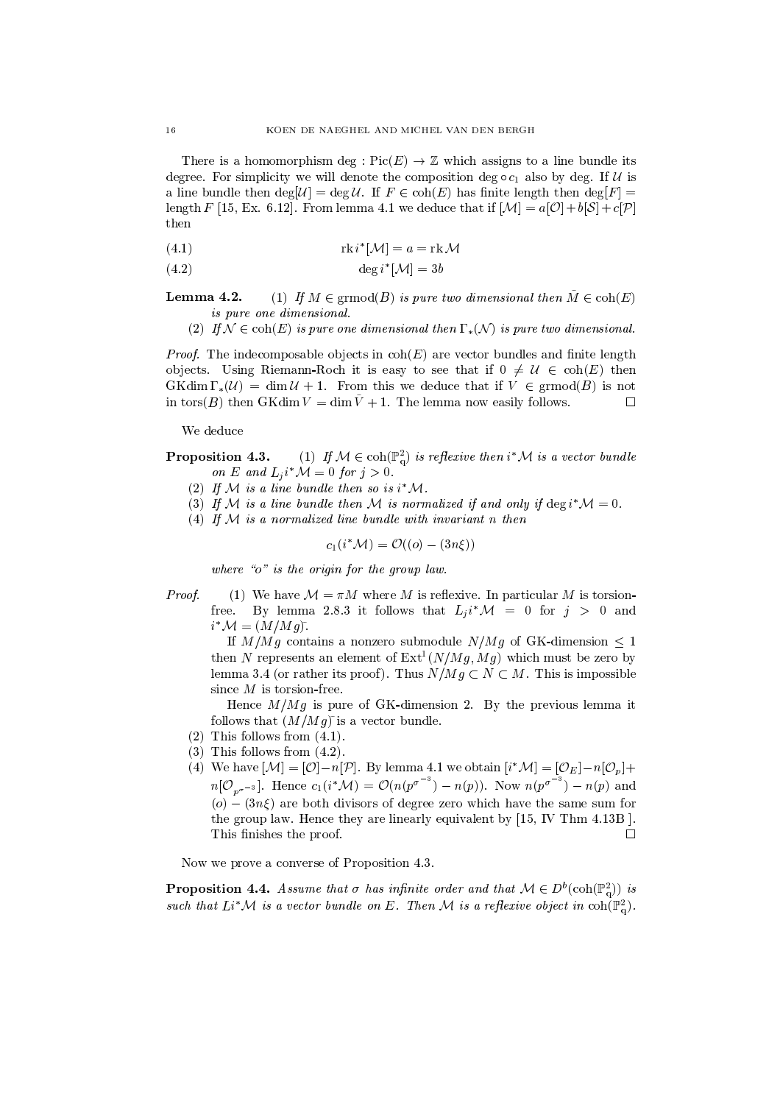There is a homomorphism deg:  $Pic(E) \rightarrow \mathbb{Z}$  which assigns to a line bundle its degree. For simplicity we will denote the composition deg  $\circ c_1$  also by deg. If U is a line bundle then  $\deg[\mathcal{U}] = \deg \mathcal{U}$ . If  $F \in \text{coh}(E)$  has finite length then  $\deg[F] =$ length F [15, Ex. 6.12]. From lemma 4.1 we deduce that if  $[\mathcal{M}] = a[\mathcal{O}] + b[\mathcal{S}] + c[\mathcal{P}]$ then

(4.1) 
$$
\operatorname{rk} i^*[\mathcal{M}] = a = \operatorname{rk} \mathcal{M}
$$

$$
(4.2) \qquad \deg i^*[\mathcal{M}] = 3b
$$

(1) If  $M \in \mathrm{grmod}(B)$  is pure two dimensional then  $\tilde{M} \in \mathrm{coh}(E)$ Lemma 4.2. is pure one dimensional.

(2) If  $\mathcal{N} \in \text{coh}(E)$  is pure one dimensional then  $\Gamma_*(\mathcal{N})$  is pure two dimensional.

*Proof.* The indecomposable objects in  $\text{coh}(E)$  are vector bundles and finite length objects. Using Riemann-Roch it is easy to see that if  $0 \neq \mathcal{U} \in \text{coh}(E)$  then  $GK\dim\Gamma_*(\mathcal{U}) = \dim\mathcal{U} + 1$ . From this we deduce that if  $V \in \mathrm{grmod}(B)$  is not in tors(B) then GKdim  $V = \dim \tilde{V} + 1$ . The lemma now easily follows.  $\Box$ 

We deduce

(1) If  $M \in \text{coh}(\mathbb{P}_{q}^{2})$  is reflexive then  $i^{*}\mathcal{M}$  is a vector bundle Proposition 4.3. on E and  $L_i i^* \mathcal{M} = 0$  for  $j > 0$ .

- (2) If M is a line bundle then so is  $i^*M$ .
- (3) If M is a line bundle then M is normalized if and only if  $\deg i^*M = 0$ .
- (4) If  $M$  is a normalized line bundle with invariant n then

$$
c_1(i^*\mathcal{M}) = \mathcal{O}((o) - (3n\xi))
$$

where " $o$ " is the origin for the group law.

Proof. (1) We have  $\mathcal{M} = \pi M$  where M is reflexive. In particular M is torsion-By lemma 2.8.3 it follows that  $L_i i^* \mathcal{M} = 0$  for  $j > 0$  and free.  $i^* \mathcal{M} = (M/Mg)$ .

If  $M/Mg$  contains a nonzero submodule  $N/Mg$  of GK-dimension  $\leq 1$ then N represents an element of  $Ext^1(N/Mg, Mg)$  which must be zero by lemma 3.4 (or rather its proof). Thus  $N/Mg \subset N \subset M$ . This is impossible since  $M$  is torsion-free.

Hence  $M/Mg$  is pure of GK-dimension 2. By the previous lemma it follows that  $(M/Mg)$  is a vector bundle.

- $(2)$  This follows from  $(4.1)$ .
- $(3)$  This follows from  $(4.2)$ .
- (4) We have  $[\mathcal{M}] = [\mathcal{O}]-n[\mathcal{P}]$ . By lemma 4.1 we obtain  $[i^*\mathcal{M}] = [\mathcal{O}_E]-n[\mathcal{O}_p]+$  $n[\mathcal{O}_{p^{\sigma^{-3}}}]$ . Hence  $c_1(i^*\mathcal{M}) = \mathcal{O}(n(p^{\sigma^{-3}}) - n(p))$ . Now  $n(p^{\sigma^{-3}}) - n(p)$  and (o)  $-(3n\xi)$  are both divisors of degree zero which have the same sum for the group law. Hence they are linearly equivalent by [15, IV Thm 4.13B]. This finishes the proof.  $\Box$

Now we prove a converse of Proposition 4.3.

**Proposition 4.4.** Assume that  $\sigma$  has infinite order and that  $\mathcal{M} \in D^b(\text{coh}(\mathbb{P}_\alpha^2))$  is such that  $Li^*\mathcal{M}$  is a vector bundle on E. Then M is a reflexive object in  $\mathrm{coh}(\mathbb{P}^2_{\alpha})$ .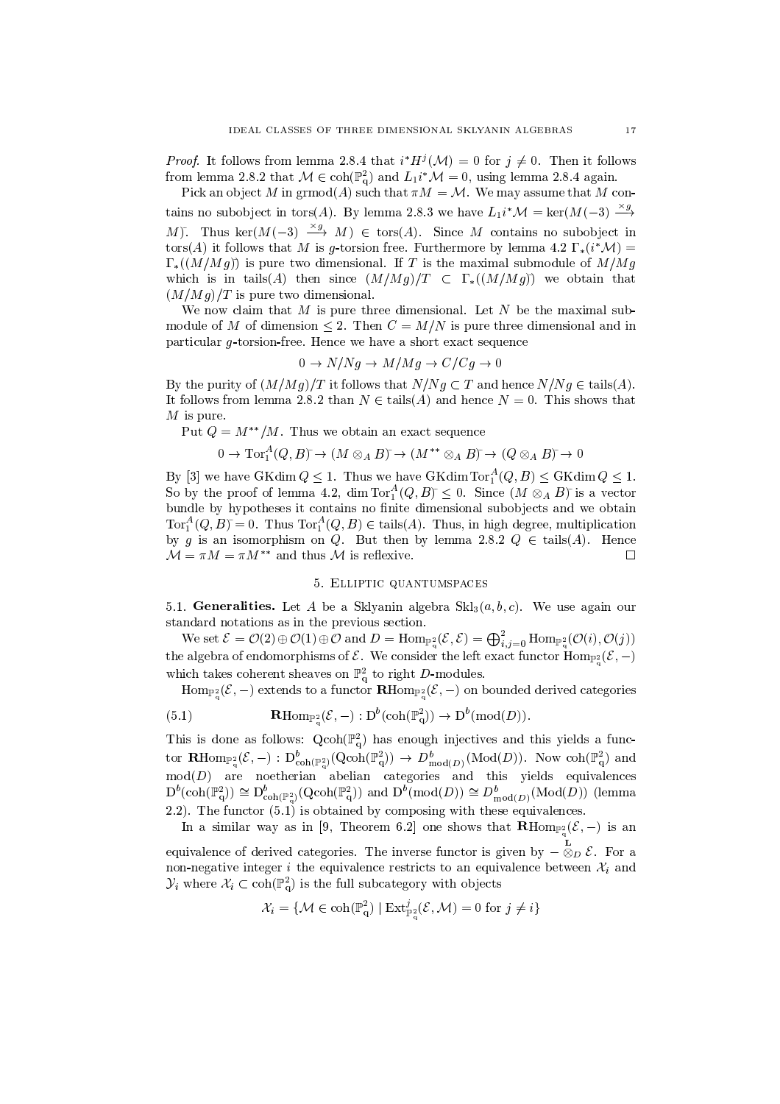*Proof.* It follows from lemma 2.8.4 that  $i^*H^j(\mathcal{M})=0$  for  $j\neq 0$ . Then it follows from lemma 2.8.2 that  $M \in \text{coh}(\mathbb{P}_{q}^{2})$  and  $L_{1}i^{*}\mathcal{M}=0$ , using lemma 2.8.4 again.

Pick an object M in  $\mathrm{grmod}(A)$  such that  $\pi M = \mathcal{M}$ . We may assume that M contains no subobject in tors(A). By lemma 2.8.3 we have  $L_1 i^* \mathcal{M} = \ker(M(-3) \xrightarrow{x g}$ M). Thus ker $(M(-3) \xrightarrow{\times g} M) \in \text{tors}(A)$ . Since M contains no subobject in tors(A) it follows that M is g-torsion free. Furthermore by lemma 4.2  $\Gamma_*(i^*\mathcal{M}) =$  $\Gamma_*((M/Mg))$  is pure two dimensional. If T is the maximal submodule of  $M/Mg$ which is in tails (A) then since  $(M/Mg)/T \subset \Gamma_*((M/Mg))$  we obtain that  $(M/Mg)/T$  is pure two dimensional.

We now claim that  $M$  is pure three dimensional. Let  $N$  be the maximal submodule of M of dimension  $\leq$  2. Then  $C = M/N$  is pure three dimensional and in particular g-torsion-free. Hence we have a short exact sequence

$$
0 \to N/Ng \to M/Mg \to C/Cg \to 0
$$

By the purity of  $(M/Mg)/T$  it follows that  $N/Ng \subset T$  and hence  $N/Ng \in \text{tails}(A)$ . It follows from lemma 2.8.2 than  $N \in \text{tails}(A)$  and hence  $N = 0$ . This shows that  $M$  is pure.

Put  $Q = M^{**}/M$ . Thus we obtain an exact sequence

$$
0 \to \operatorname{Tor}\nolimits_1^A(Q,B) \tilde{\ }\rightarrow (M \otimes_A B) \tilde{\ }\rightarrow (M^{**} \otimes_A B) \tilde{\ }\rightarrow (Q \otimes_A B) \tilde{\ }\rightarrow 0
$$

By [3] we have GKdim  $Q \leq 1$ . Thus we have GKdim  $\text{Tor}_{1}^{A}(Q, B) \leq \text{GKdim } Q \leq 1$ . So by the proof of lemma 4.2, dim Tor $_1^A(Q, B) \leq 0$ . Since  $(M \otimes_A B)$  is a vector bundle by hypotheses it contains no finite dimensional subobjects and we obtain  $Tor_1^A(Q, B) = 0$ . Thus  $Tor_1^A(Q, B) \in \text{tails}(A)$ . Thus, in high degree, multiplication by g is an isomorphism on Q. But then by lemma 2.8.2  $Q \in \text{tails}(A)$ . Hence  $\mathcal{M} = \pi M = \pi M^{**}$  and thus M is reflexive.  $\Box$ 

## 5. ELLIPTIC QUANTUMSPACES

5.1. Generalities. Let A be a Sklyanin algebra  $\text{Skl}_3(a, b, c)$ . We use again our standard notations as in the previous section.

We set  $\mathcal{E} = \mathcal{O}(2) \oplus \mathcal{O}(1) \oplus \mathcal{O}$  and  $D = \text{Hom}_{\mathbb{P}_q^2}(\mathcal{E}, \mathcal{E}) = \bigoplus_{i,j=0}^2 \text{Hom}_{\mathbb{P}_q^2}(\mathcal{O}(i), \mathcal{O}(j))$ the algebra of endomorphisms of  $\mathcal E$ . We consider the left exact functor  $\text{Hom}_{\mathbb P^2}(\mathcal E,-)$ which takes coherent sheaves on  $\mathbb{P}^2_\alpha$  to right D-modules.

 $\text{Hom}_{\mathbb{P}^2_{\alpha}}(\mathcal{E},-)$  extends to a functor  $\mathbf{R}\text{Hom}_{\mathbb{P}^2_{\alpha}}(\mathcal{E},-)$  on bounded derived categories  $\sim$   $\sigma_{\rm V}$ 

(5.1) 
$$
\mathbf{R}\mathrm{Hom}_{\mathbb{P}^2_{\alpha}}(\mathcal{E},-): \mathrm{D}^{\theta}(\mathrm{coh}(\mathbb{P}^2_{\alpha})) \to \mathrm{D}^{\theta}(\mathrm{mod}(D)).
$$

This is done as follows:  $Qcoh(\mathbb{P}_{q}^{2})$  has enough injectives and this yields a functor  $\mathbf{R}\text{Hom}_{\mathbb{P}^2_\alpha}(\mathcal{E},-): D^b_{\text{coh}(\mathbb{P}^2_\alpha)}(\text{Qcoh}(\mathbb{P}^2_q)) \to D^b_{\text{mod}(D)}(\text{Mod}(D)).$  Now  $\text{coh}(\mathbb{P}^2_q)$  and  $mod(D)$  are noetherian abelian categories and this yields equivalences  $D^b(\text{coh}(\mathbb{P}^2_q)) \cong D^b_{\text{coh}(\mathbb{P}^2_q)}(Q\text{coh}(\mathbb{P}^2_q))$  and  $D^b(\text{mod}(D)) \cong D^b_{\text{mod}(D)}(\text{Mod}(D))$  (lemma 2.2). The functor  $(5.1)$  is obtained by composing with these equivalences.

In a similar way as in [9, Theorem 6.2] one shows that  $\mathbf{R} \text{Hom}_{\mathbb{P}^2}(\mathcal{E},-)$  is an equivalence of derived categories. The inverse functor is given by  $-\overset{\mathbf{L}}{\otimes}_D \mathcal{E}$ . For a non-negative integer *i* the equivalence restricts to an equivalence between  $\mathcal{X}_i$  and  $\mathcal{Y}_i$  where  $\mathcal{X}_i \subset \text{coh}(\mathbb{P}^2_q)$  is the full subcategory with objects

$$
\mathcal{X}_i = \{ \mathcal{M} \in \mathrm{coh}(\mathbb{P}_{q}^2) \mid \mathrm{Ext}^j_{\mathbb{P}_{q}^2}(\mathcal{E}, \mathcal{M}) = 0 \text{ for } j \neq i \}
$$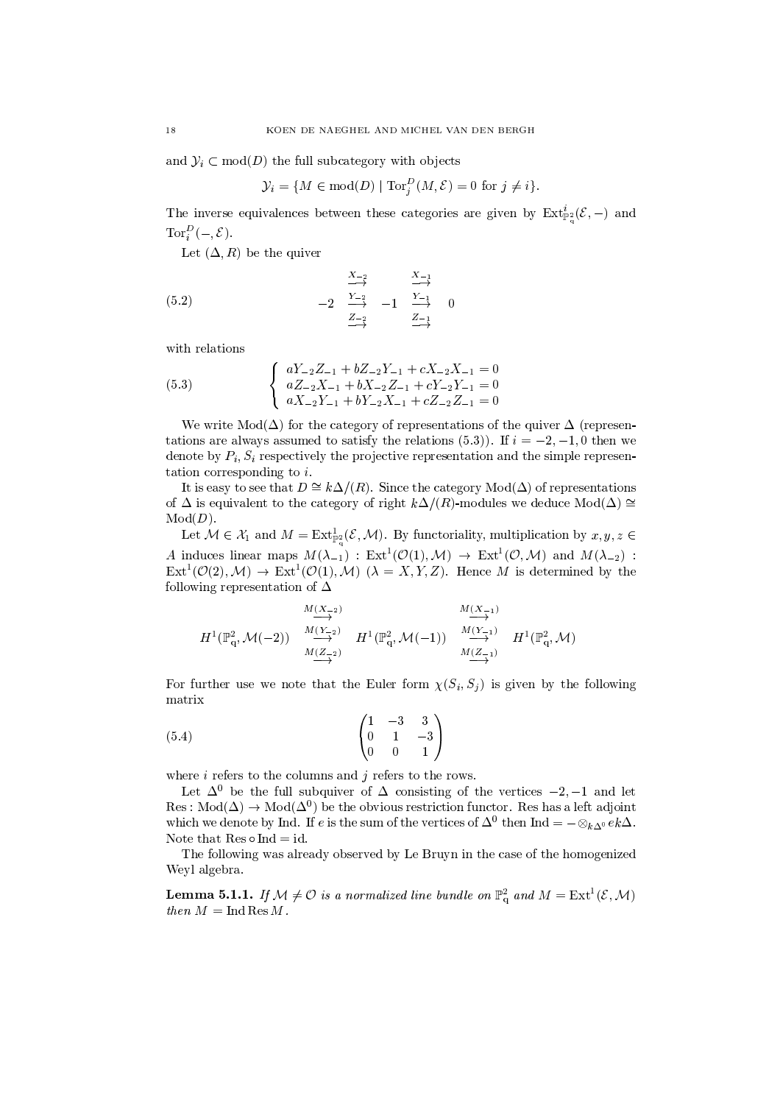and  $\mathcal{Y}_i \subset \text{mod}(D)$  the full subcategory with objects

$$
\mathcal{Y}_i = \{ M \in \text{mod}(D) \mid \text{Tor}_i^D(M, \mathcal{E}) = 0 \text{ for } j \neq i \}.
$$

The inverse equivalences between these categories are given by  $\text{Ext}^i_{\mathbb{P}^2}(\mathcal{E},-)$  and  $Tor_i^D(-,\mathcal{E}).$ 

Let  $(\Delta, R)$  be the quiver

$$
(5.2) \qquad -2 \quad \frac{\frac{X-2}{Y-2}}{\frac{Z-2}{Y-1}} \quad -1 \quad \frac{\frac{X-1}{Y-1}}{\frac{Z-1}{Y-1}} \quad 0
$$

with relations

(5.3) 
$$
\begin{cases}\n aY_{-2}Z_{-1} + bZ_{-2}Y_{-1} + cX_{-2}X_{-1} = 0 \\
 aZ_{-2}X_{-1} + bX_{-2}Z_{-1} + cY_{-2}Y_{-1} = 0 \\
 aX_{-2}Y_{-1} + bY_{-2}X_{-1} + cZ_{-2}Z_{-1} = 0\n\end{cases}
$$

We write  $Mod(\Delta)$  for the category of representations of the quiver  $\Delta$  (representations are always assumed to satisfy the relations (5.3)). If  $i = -2, -1, 0$  then we denote by  $P_i$ ,  $S_i$  respectively the projective representation and the simple representation corresponding to  $i$ .

It is easy to see that  $D \cong k\Delta/(R)$ . Since the category  $Mod(\Delta)$  of representations of  $\Delta$  is equivalent to the category of right  $k\Delta/(R)$ -modules we deduce  $Mod(\Delta) \cong$  $Mod(D)$ .

Let  $\mathcal{M} \in \mathcal{X}_1$  and  $M = \text{Ext}_{\mathbb{P}^2}^1(\mathcal{E}, \mathcal{M})$ . By functoriality, multiplication by  $x, y, z \in$ A induces linear maps  $M(\lambda_{-1})$ :  $Ext^1(\mathcal{O}(1), \mathcal{M}) \to Ext^1(\mathcal{O}, \mathcal{M})$  and  $M(\lambda_{-2})$ :  $\text{Ext}^{1}(\mathcal{O}(2), \mathcal{M}) \to \text{Ext}^{1}(\mathcal{O}(1), \mathcal{M})$  ( $\lambda = X, Y, Z$ ). Hence M is determined by the following representation of  $\Delta$ 

$$
H^{1}(\mathbb{P}_{q}^{2},\mathcal{M}(-2)) \xrightarrow{M(Y_{-2})} H^{1}(\mathbb{P}_{q}^{2},\mathcal{M}(-1)) \xrightarrow{M(Y_{-1})} H^{1}(\mathbb{P}_{q}^{2},\mathcal{M})
$$
  

$$
H^{1}(\mathbb{P}_{q}^{2},\mathcal{M}(-1)) \xrightarrow{M(Z_{-1})} H^{1}(\mathbb{P}_{q}^{2},\mathcal{M})
$$

For further use we note that the Euler form  $\chi(S_i, S_j)$  is given by the following matrix

$$
\begin{pmatrix}\n1 & -3 & 3 \\
0 & 1 & -3 \\
0 & 0 & 1\n\end{pmatrix}
$$

where  $i$  refers to the columns and  $j$  refers to the rows.

Let  $\Delta^0$  be the full subquiver of  $\Delta$  consisting of the vertices  $-2, -1$  and let Res:  $Mod(\Delta) \rightarrow Mod(\Delta^0)$  be the obvious restriction functor. Res has a left adjoint which we denote by Ind. If e is the sum of the vertices of  $\Delta^0$  then Ind  $= - \otimes_{k\Delta^0} e k \Delta$ . Note that  $Res \circ Ind = id$ .

The following was already observed by Le Bruyn in the case of the homogenized Weyl algebra.

**Lemma 5.1.1.** If  $M \neq \mathcal{O}$  is a normalized line bundle on  $\mathbb{P}^2_q$  and  $M = \text{Ext}^1(\mathcal{E}, \mathcal{M})$ then  $M = \text{Ind}$  Res M.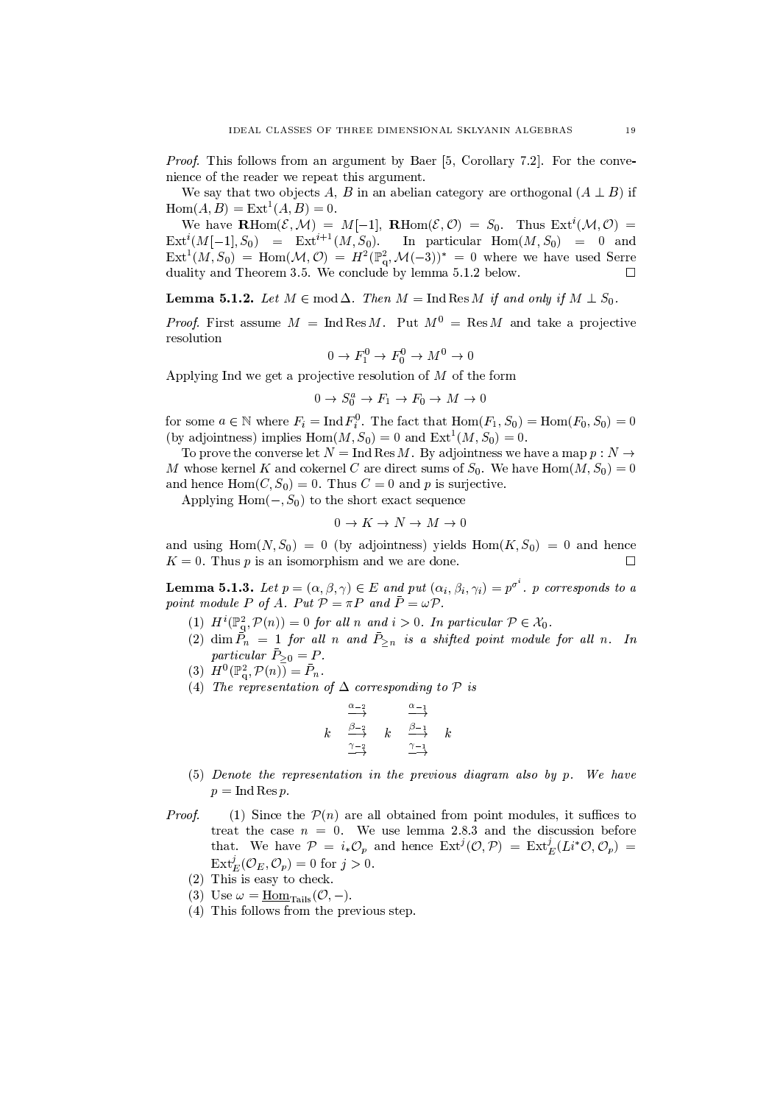*Proof.* This follows from an argument by Baer [5, Corollary 7.2]. For the convenience of the reader we repeat this argument.

We say that two objects A, B in an abelian category are orthogonal  $(A \perp B)$  if  $Hom(A, B) = Ext<sup>1</sup>(A, B) = 0.$ 

We have  $\mathbf{R}\text{Hom}(\mathcal{E},\mathcal{M}) = M[-1], \mathbf{R}\text{Hom}(\mathcal{E},\mathcal{O}) = S_0.$  Thus  $\text{Ext}^i(\mathcal{M},\mathcal{O}) =$  $\text{Ext}^{i}(M[-1], S_0) = \text{Ext}^{i+1}(M, S_0).$ In particular  $\text{Hom}(M, S_0) = 0$  and  $\text{Ext}^1(M, S_0) = \text{Hom}(\mathcal{M}, \mathcal{O}) = H^2(\mathbb{P}^2_q, \mathcal{M}(-3))^* = 0$  where we have used Serre duality and Theorem 3.5. We conclude by lemma 5.1.2 below.  $\Box$ 

**Lemma 5.1.2.** Let  $M \in \text{mod } \Delta$ . Then  $M = \text{Ind} \text{Res } M$  if and only if  $M \perp S_0$ .

*Proof.* First assume  $M = \text{Ind} \text{Res } M$ . Put  $M^0 = \text{Res } M$  and take a projective resolution

$$
0 \to F_1^0 \to F_0^0 \to M^0 \to 0
$$

Applying Ind we get a projective resolution of  $M$  of the form

$$
0 \to S_0^a \to F_1 \to F_0 \to M \to 0
$$

for some  $a \in \mathbb{N}$  where  $F_i = \text{Ind } F_i^0$ . The fact that  $\text{Hom}(F_1, S_0) = \text{Hom}(F_0, S_0) = 0$ (by adjointness) implies  $Hom(M, S_0) = 0$  and  $Ext<sup>1</sup>(M, S_0) = 0$ .

To prove the converse let  $N = \text{Ind} \text{Res } M$ . By adjointness we have a map  $p : N \to$ M whose kernel K and cokernel C are direct sums of  $S_0$ . We have  $Hom(M, S_0) = 0$ and hence  $Hom(C, S_0) = 0$ . Thus  $C = 0$  and p is surjective.

Applying  $Hom(-, S_0)$  to the short exact sequence

$$
0 \to K \to N \to M \to 0
$$

and using  $Hom(N, S_0) = 0$  (by adjointness) yields  $Hom(K, S_0) = 0$  and hence  $K = 0$ . Thus p is an isomorphism and we are done.  $\Box$ 

**Lemma 5.1.3.** Let  $p = (\alpha, \beta, \gamma) \in E$  and put  $(\alpha_i, \beta_i, \gamma_i) = p^{\sigma^i}$ . p corresponds to a point module P of A. Put  $P = \pi P$  and  $\overline{P} = \omega P$ .

- (1)  $H^i(\mathbb{P}^2_\alpha,\mathcal{P}(n))=0$  for all n and  $i>0$ . In particular  $\mathcal{P}\in\mathcal{X}_0$ .
- (2) dim  $\vec{P}_n = 1$  for all n and  $\vec{P}_{\geq n}$  is a shifted point module for all n. In particular  $\bar{P}_{\geq 0} = P$ .
- (3)  $H^0(\mathbb{P}^2_{\alpha}, \mathcal{P}(n)) = \bar{P}_n$ .
- (4) The representation of  $\Delta$  corresponding to  $\mathcal P$  is

$$
k \quad \frac{\alpha_{-2}}{\alpha_{-2}} \quad k \quad \frac{\alpha_{-1}}{\alpha_{-1}} \quad k
$$

- $(5)$  Denote the representation in the previous diagram also by p. We have  $p = \text{Ind Res } p.$
- Proof. (1) Since the  $\mathcal{P}(n)$  are all obtained from point modules, it suffices to treat the case  $n = 0$ . We use lemma 2.8.3 and the discussion before that. We have  $\mathcal{P} = i_* \mathcal{O}_p$  and hence  $\text{Ext}^j(\mathcal{O}, \mathcal{P}) = \text{Ext}^j_E(L_i^* \mathcal{O}, \mathcal{O}_p) =$  $\text{Ext}^j_E(\mathcal{O}_E,\mathcal{O}_p)=0$  for  $j>0$ .
	- $(2)$  This is easy to check.
	- (3) Use  $\omega = \underline{\text{Hom}}_{\text{Tails}}(\mathcal{O}, -).$
	- (4) This follows from the previous step.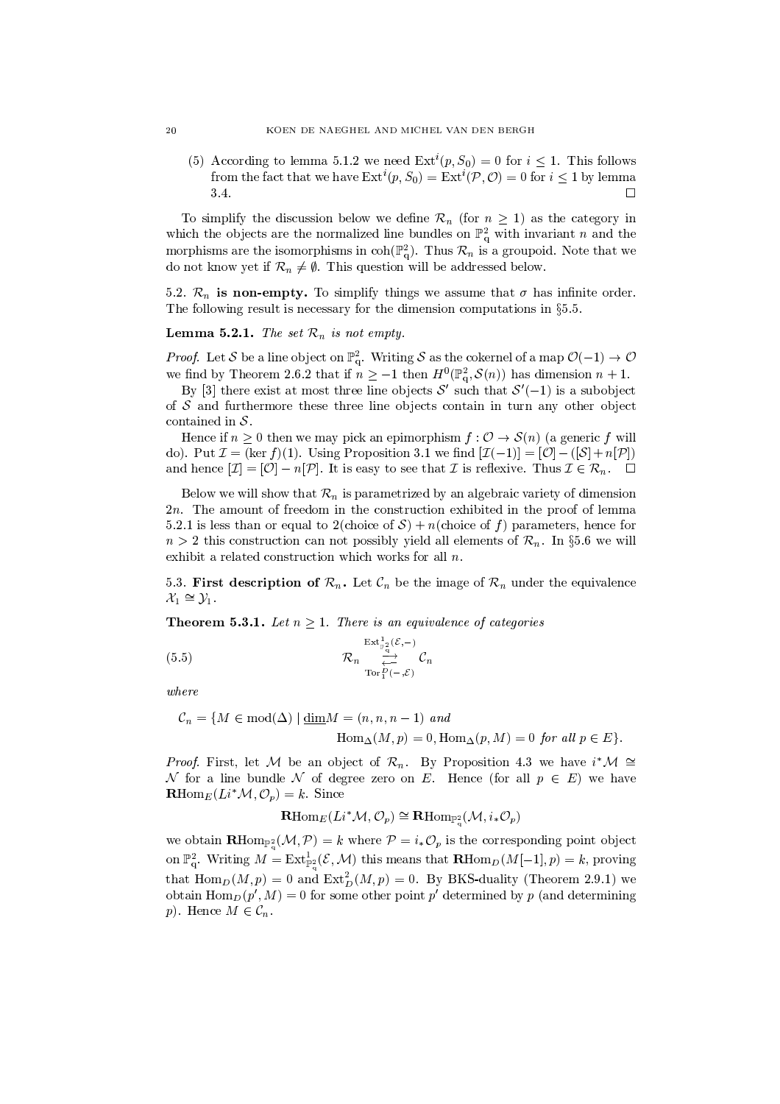(5) According to lemma 5.1.2 we need  $Ext^i(p, S_0) = 0$  for  $i \le 1$ . This follows from the fact that we have  $\mathrm{Ext}^i(p, S_0) = \mathrm{Ext}^i(\mathcal{P}, \mathcal{O}) = 0$  for  $i \leq 1$  by lemma 3.4.  $\Box$ 

To simplify the discussion below we define  $\mathcal{R}_n$  (for  $n \geq 1$ ) as the category in which the objects are the normalized line bundles on  $\mathbb{P}^2_q$  with invariant *n* and the morphisms are the isomorphisms in  $\text{coh}(\mathbb{P}_{q}^{2})$ . Thus  $\mathcal{R}_{n}$  is a groupoid. Note that we do not know yet if  $\mathcal{R}_n \neq \emptyset$ . This question will be addressed below.

5.2.  $\mathcal{R}_n$  is non-empty. To simplify things we assume that  $\sigma$  has infinite order. The following result is necessary for the dimension computations in  $\S 5.5$ .

**Lemma 5.2.1.** The set  $\mathcal{R}_n$  is not empty.

*Proof.* Let S be a line object on  $\mathbb{P}^2_q$ . Writing S as the cokernel of a map  $\mathcal{O}(-1) \to \mathcal{O}$  we find by Theorem 2.6.2 that if  $n \ge -1$  then  $H^0(\mathbb{P}^2_q, \mathcal{S}(n))$  has dimension  $n + 1$ .

By [3] there exist at most three line objects  $S'$  such that  $S'(-1)$  is a subobject of  $S$  and furthermore these three line objects contain in turn any other object contained in  $S$ .

Hence if  $n > 0$  then we may pick an epimorphism  $f: \mathcal{O} \to \mathcal{S}(n)$  (a generic f will do). Put  $\mathcal{I} = (\ker f)(1)$ . Using Proposition 3.1 we find  $[\mathcal{I}(-1)] = [\mathcal{O}] - ([\mathcal{S}] + n[\mathcal{P}])$ and hence  $[\mathcal{I}] = [\mathcal{O}] - n[\mathcal{P}]$ . It is easy to see that  $\mathcal I$  is reflexive. Thus  $\mathcal I \in \mathcal R_n$ .  $\square$ 

Below we will show that  $\mathcal{R}_n$  is parametrized by an algebraic variety of dimension  $2n$ . The amount of freedom in the construction exhibited in the proof of lemma 5.2.1 is less than or equal to 2(choice of S) + n(choice of f) parameters, hence for  $n > 2$  this construction can not possibly yield all elements of  $\mathcal{R}_n$ . In §5.6 we will exhibit a related construction which works for all  $n$ .

5.3. First description of  $\mathcal{R}_n$ . Let  $\mathcal{C}_n$  be the image of  $\mathcal{R}_n$  under the equivalence  $\mathcal{X}_1 \cong \mathcal{Y}_1$ .

**Theorem 5.3.1.** Let  $n \geq 1$ . There is an equivalence of categories

$$
(5.5) \qquad \qquad \mathcal{R}_n \underset{\text{Tor}_1^D(-,\mathcal{E})}{\overset{\text{Ext}_{\mathbb{P}_2^2}(\mathcal{E},-)}{\xrightarrow{\longrightarrow}} } \mathcal{C}_n
$$

 $where$ 

$$
C_n = \{ M \in \text{mod}(\Delta) \mid \underline{\dim} M = (n, n, n-1) \text{ and}
$$
  
 
$$
\text{Hom}_{\Delta}(M, p) = 0, \text{Hom}_{\Delta}(p, M) = 0 \text{ for all } p \in E \}.
$$

*Proof.* First, let M be an object of  $\mathcal{R}_n$ . By Proposition 4.3 we have  $i^*\mathcal{M} \cong$ N for a line bundle N of degree zero on E. Hence (for all  $p \in E$ ) we have  $\mathbf{R}\mathrm{Hom}_E(Li^*\mathcal{M}, \mathcal{O}_p)=k.$  Since

$$
\mathbf{R}\mathrm{Hom}_{E}(Li^*\mathcal{M}, \mathcal{O}_p) \cong \mathbf{R}\mathrm{Hom}_{\mathbb{P}_p^2}(\mathcal{M}, i_*\mathcal{O}_p)
$$

we obtain  $\mathbf{R}\text{Hom}_{\mathbb{P}^2_\alpha}(\mathcal{M},\mathcal{P})=k$  where  $\mathcal{P}=i_*\mathcal{O}_p$  is the corresponding point object on  $\mathbb{P}^2_{\alpha}$ . Writing  $M = \text{Ext}^1_{\mathbb{P}^2}(\mathcal{E}, \mathcal{M})$  this means that  $\mathbf{R} \text{Hom}_D(M[-1], p) = k$ , proving that  $\text{Hom}_D(M,p) = 0$  and  $\text{Ext}^2_D(M,p) = 0$ . By BKS-duality (Theorem 2.9.1) we obtain  $\text{Hom}_D(p', M) = 0$  for some other point p' determined by p (and determining p). Hence  $M \in \mathcal{C}_n$ .

 $\overline{20}$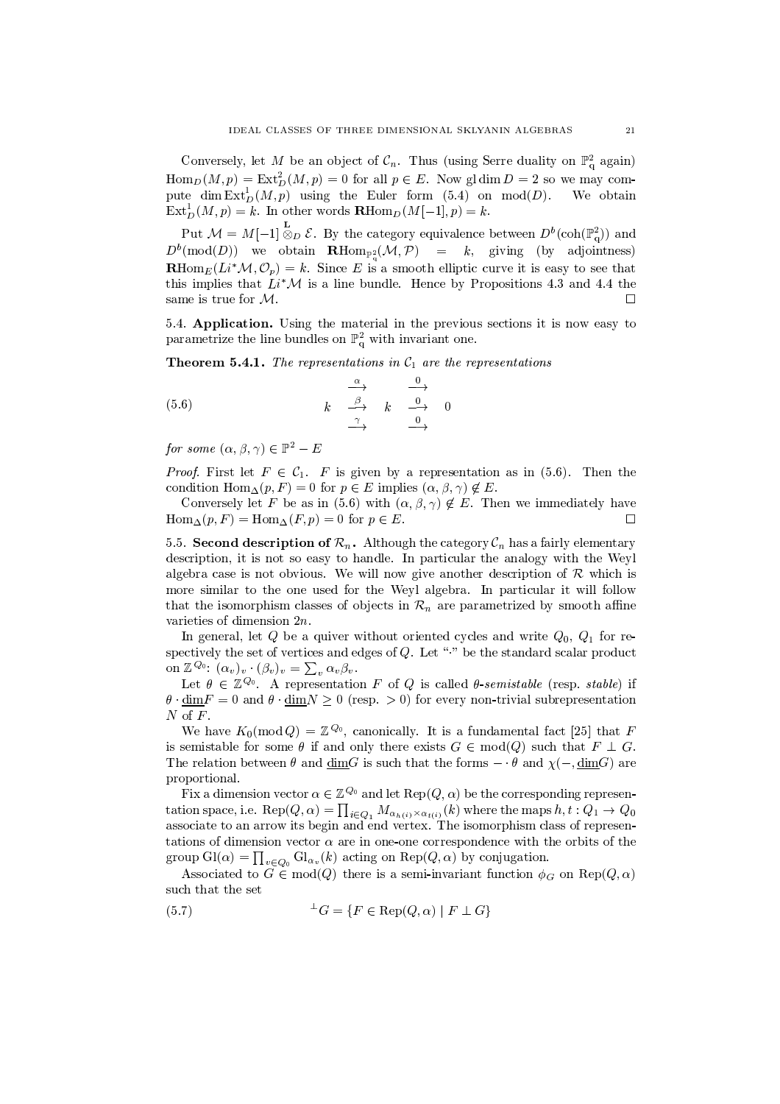Conversely, let M be an object of  $\mathcal{C}_n$ . Thus (using Serre duality on  $\mathbb{P}^2_q$  again)  $\text{Hom}_D(M,p) = \text{Ext}^2_D(M,p) = 0$  for all  $p \in E$ . Now gl dim  $D = 2$  so we may compute dim  $\text{Ext}^1_D(M,p)$  using the Euler form (5.4) on mod(D). We obtain  $\text{Ext}^1_D(M,p) = k$ . In other words  $\mathbf{R}\text{Hom}_D(M[-1],p) = k$ .

Put  $\mathcal{M} = M[-1] \overset{\mathbf{L}}{\otimes}_D \mathcal{E}$ . By the category equivalence between  $D^b(\text{coh}(\mathbb{P}_q^2))$  and  $D^b(\text{mod}(D))$  we obtain  $\mathbf{R}\text{Hom}_{\mathbb{P}_n^2}(\mathcal{M},\mathcal{P}) = k$ , giving (by adjointness)  $\mathbf{R} \text{Hom}_{E}(Li^* \mathcal{M}, \mathcal{O}_n) = k$ . Since E is a smooth elliptic curve it is easy to see that this implies that  $Li^*\mathcal{M}$  is a line bundle. Hence by Propositions 4.3 and 4.4 the same is true for  $M$ .  $\Box$ 

5.4. Application. Using the material in the previous sections it is now easy to parametrize the line bundles on  $\mathbb{P}^2_{q}$  with invariant one.

**Theorem 5.4.1.** The representations in  $C_1$  are the representations

$$
(5.6) \qquad k \xrightarrow{\alpha} \qquad k \xrightarrow{0} \qquad 0
$$

for some  $(\alpha, \beta, \gamma) \in \mathbb{P}^2 - E$ 

*Proof.* First let  $F \in C_1$ . F is given by a representation as in (5.6). Then the condition  $\text{Hom}_{\Delta}(p, F) = 0$  for  $p \in E$  implies  $(\alpha, \beta, \gamma) \notin E$ .

Conversely let F be as in (5.6) with  $(\alpha, \beta, \gamma) \notin E$ . Then we immediately have  $\text{Hom}_{\Delta}(p, F) = \text{Hom}_{\Delta}(F, p) = 0$  for  $p \in E$ .

5.5. Second description of  $\mathcal{R}_n$ . Although the category  $\mathcal{C}_n$  has a fairly elementary description, it is not so easy to handle. In particular the analogy with the Weyl algebra case is not obvious. We will now give another description of  $\mathcal R$  which is more similar to the one used for the Weyl algebra. In particular it will follow that the isomorphism classes of objects in  $\mathcal{R}_n$  are parametrized by smooth affine varieties of dimension  $2n$ .

In general, let Q be a quiver without oriented cycles and write  $Q_0$ ,  $Q_1$  for respectively the set of vertices and edges of  $Q$ . Let "." be the standard scalar product on  $\mathbb{Z}^{Q_0}$ :  $(\alpha_v)_v \cdot (\beta_v)_v = \sum_v \alpha_v \beta_v$ .

Let  $\theta \in \mathbb{Z}^{\mathbb{Q}_0}$ . A representation F of Q is called  $\theta$ -semistable (resp. stable) if  $\theta \cdot \underline{\dim} F = 0$  and  $\theta \cdot \underline{\dim} N \ge 0$  (resp. > 0) for every non-trivial subrepresentation  $N$  of  $F$ .

We have  $K_0(\text{mod }Q) = \mathbb{Z}^{Q_0}$ , canonically. It is a fundamental fact [25] that F is semistable for some  $\theta$  if and only there exists  $G \in \text{mod}(Q)$  such that  $F \perp G$ . The relation between  $\theta$  and  $\underline{\dim}G$  is such that the forms  $-\theta$  and  $\chi(-,\underline{\dim}G)$  are proportional.

Fix a dimension vector  $\alpha \in \mathbb{Z}^{Q_0}$  and let  $\text{Rep}(Q, \alpha)$  be the corresponding representation space, i.e.  $\text{Rep}(Q, \alpha) = \prod_{i \in Q_1} M_{\alpha_{h(i)} \times \alpha_{t(i)}}(k)$  where the maps  $h, t : Q_1 \to Q_0$  associate to an arrow its begin and end vertex. The isomorphism class of representations of dimension vector  $\alpha$  are in one-one correspondence with the orbits of the group  $\mathrm{Gl}(\alpha) = \prod_{v \in Q_0} \mathrm{Gl}_{\alpha_v}(k)$  acting on  $\mathrm{Rep}(Q, \alpha)$  by conjugation.

Associated to  $G \in \text{mod}(Q)$  there is a semi-invariant function  $\phi_G$  on  $\text{Rep}(Q, \alpha)$ such that the set

$$
(5.7) \qquad \qquad ^{\perp}G = \{ F \in \text{Rep}(Q, \alpha) \mid F \perp G \}
$$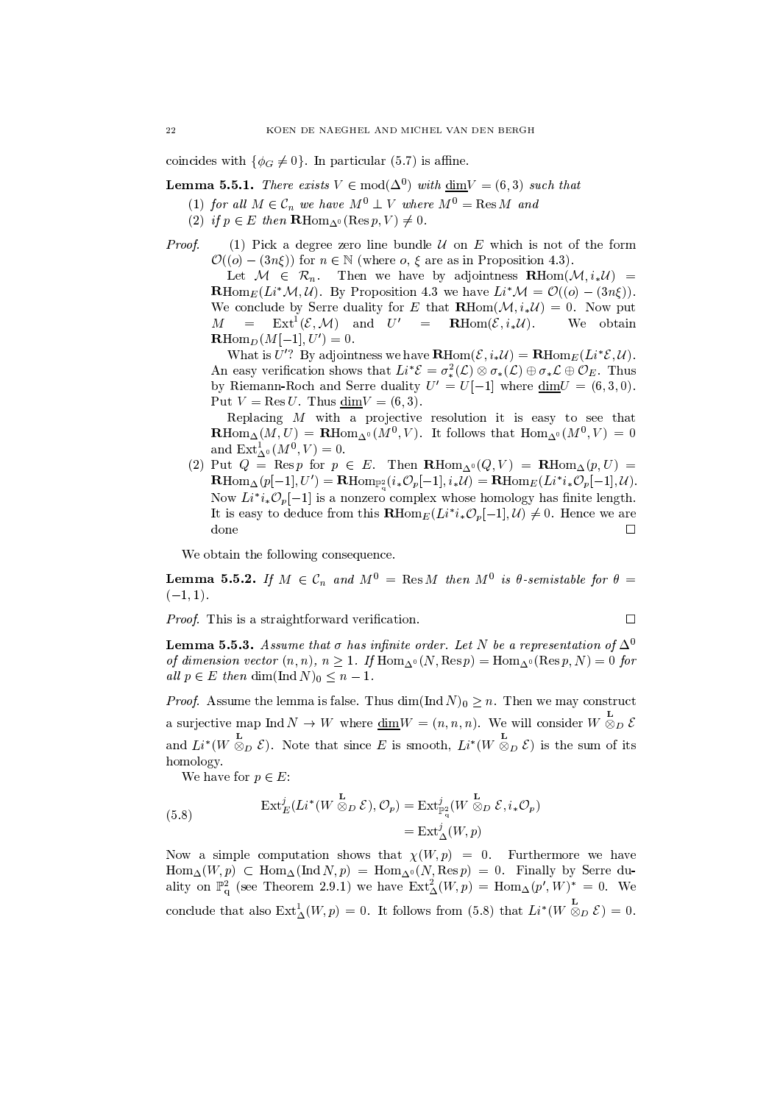coincides with  $\{\phi_G \neq 0\}$ . In particular (5.7) is affine.

**Lemma 5.5.1.** There exists  $V \in \text{mod}(\Delta^0)$  with  $\underline{\text{dim}}V = (6,3)$  such that

- (1) for all  $M \in \mathcal{C}_n$  we have  $M^0 \perp V$  where  $M^0 = \text{Res } M$  and
- (2) if  $p \in E$  then  $\mathbf{R} \text{Hom}_{\Delta^0}(\text{Res } p, V) \neq 0$ .
- Proof. (1) Pick a degree zero line bundle  $U$  on E which is not of the form  $\mathcal{O}((o)-(3n\xi))$  for  $n \in \mathbb{N}$  (where  $o, \xi$  are as in Proposition 4.3).

Let  $M \in \mathcal{R}_n$ . Then we have by adjointness  $\mathbf{R} \text{Hom}(\mathcal{M}, i_* \mathcal{U}) =$ **R**Hom<sub>E</sub>(Li<sup>\*</sup> $\mathcal{M}, \mathcal{U}$ ). By Proposition 4.3 we have Li<sup>\*</sup> $\mathcal{M} = \mathcal{O}((o) - (3n\xi))$ . We conclude by Serre duality for E that  $\mathbf{R}\text{Hom}(\mathcal{M}, i_*\mathcal{U}) = 0$ . Now put  $\operatorname{Ext}^1(\mathcal{E}, \mathcal{M})$  and  $U' = \operatorname{RHom}(\mathcal{E}, i_*\mathcal{U}).$  $M =$ We obtain  $\mathbf{R}\text{Hom}_D(M[-1],U')=0.$ 

What is U'? By adjointness we have  $\mathbf{R}\text{Hom}(\mathcal{E}, i_*\mathcal{U}) = \mathbf{R}\text{Hom}_E(Li^*\mathcal{E}, \mathcal{U}).$ An easy verification shows that  $Li^*\mathcal{E} = \sigma_*^2(\mathcal{L}) \otimes \sigma_*(\mathcal{L}) \oplus \sigma_*\mathcal{L} \oplus \mathcal{O}_E$ . Thus by Riemann-Roch and Serre duality  $U' = U[-1]$  where  $\dim U = (6,3,0)$ . Put  $V = \text{Res } U$ . Thus  $\dim V = (6, 3)$ .

Replacing  $M$  with a projective resolution it is easy to see that  $\mathbf{R}\text{Hom}_{\Delta}(M,U) = \mathbf{R}\text{Hom}_{\Delta^0}(M^0, V)$ . It follows that  $\text{Hom}_{\Delta^0}(M^0, V) = 0$ and  $\text{Ext}_{\Delta^0}^1(M^0, V) = 0$ .

(2) Put  $Q = \text{Res } p$  for  $p \in E$ . Then  $\mathbf{R} \text{Hom}_{\Delta^0}(Q, V) = \mathbf{R} \text{Hom}_{\Delta}(p, U) =$  $\mathbf{R}\mathrm{Hom}_{\Delta}(p[-1],U')=\mathbf{R}\mathrm{Hom}_{\mathbb{P}^2}(i_*\mathcal{O}_p[-1],i_*\mathcal{U})=\mathbf{R}\mathrm{Hom}_E(Li^*i_*\mathcal{O}_p[-1],\mathcal{U}).$ Now  $Li^*i_*\mathcal{O}_p[-1]$  is a nonzero complex whose homology has finite length. It is easy to deduce from this  $\mathbf{R} \text{Hom}_E(L^{i*}i_* \mathcal{O}_p[-1], \mathcal{U}) \neq 0$ . Hence we are done  $\Box$ 

We obtain the following consequence.

**Lemma 5.5.2.** If  $M \in \mathcal{C}_n$  and  $M^0 = \text{Res } M$  then  $M^0$  is  $\theta$ -semistable for  $\theta =$  $(-1, 1).$ 

*Proof.* This is a straightforward verification.

$$
\Box
$$

**Lemma 5.5.3.** Assume that  $\sigma$  has infinite order. Let N be a representation of  $\Delta^0$ of dimension vector  $(n, n)$ ,  $n \ge 1$ . If  $\text{Hom}_{\Delta^0}(N, \text{Res } p) = \text{Hom}_{\Delta^0}(\text{Res } p, N) = 0$  for all  $p \in E$  then dim(Ind N)<sub>0</sub>  $\leq n-1$ .

*Proof.* Assume the lemma is false. Thus  $\dim(\text{Ind } N)_0 > n$ . Then we may construct a surjective map Ind  $N \to W$  where  $\underline{\dim} W = (n, n, n)$ . We will consider  $W \overset{\mathbf{L}}{\otimes}_D \mathcal{E}$ and  $Li^*(W \otimes_D \mathcal{E})$ . Note that since E is smooth,  $Li^*(W \otimes_D \mathcal{E})$  is the sum of its homology.

We have for  $p \in E$ :

(5.8) 
$$
\operatorname{Ext}_{E}^{j}(Li^{*}(W \overset{\mathbf{L}}{\otimes}_{D} \mathcal{E}), \mathcal{O}_{p}) = \operatorname{Ext}_{\mathbb{P}_{q}^{2}}^{j}(W \overset{\mathbf{L}}{\otimes}_{D} \mathcal{E}, i_{*}\mathcal{O}_{p})
$$

$$
= \operatorname{Ext}_{\Delta}^{j}(W, p)
$$

Now a simple computation shows that  $\chi(W, p) = 0$ . Furthermore we have  $\text{Hom}_{\Delta}(W,p) \subset \text{Hom}_{\Delta}(\text{Ind }N,p) = \text{Hom}_{\Delta^0}(N,\text{Res }p) = 0.$  Finally by Serre duality on  $\mathbb{P}_q^2$  (see Theorem 2.9.1) we have  $\text{Ext}^2_{\Delta}(W,p) = \text{Hom}_{\Delta}(p',W)^* = 0.$  We conclude that also  $\text{Ext}^1_{\Delta}(W,p) = 0$ . It follows from (5.8) that  $Li^*(W \otimes_{D}^{\mathbf{L}} \mathcal{E}) = 0$ .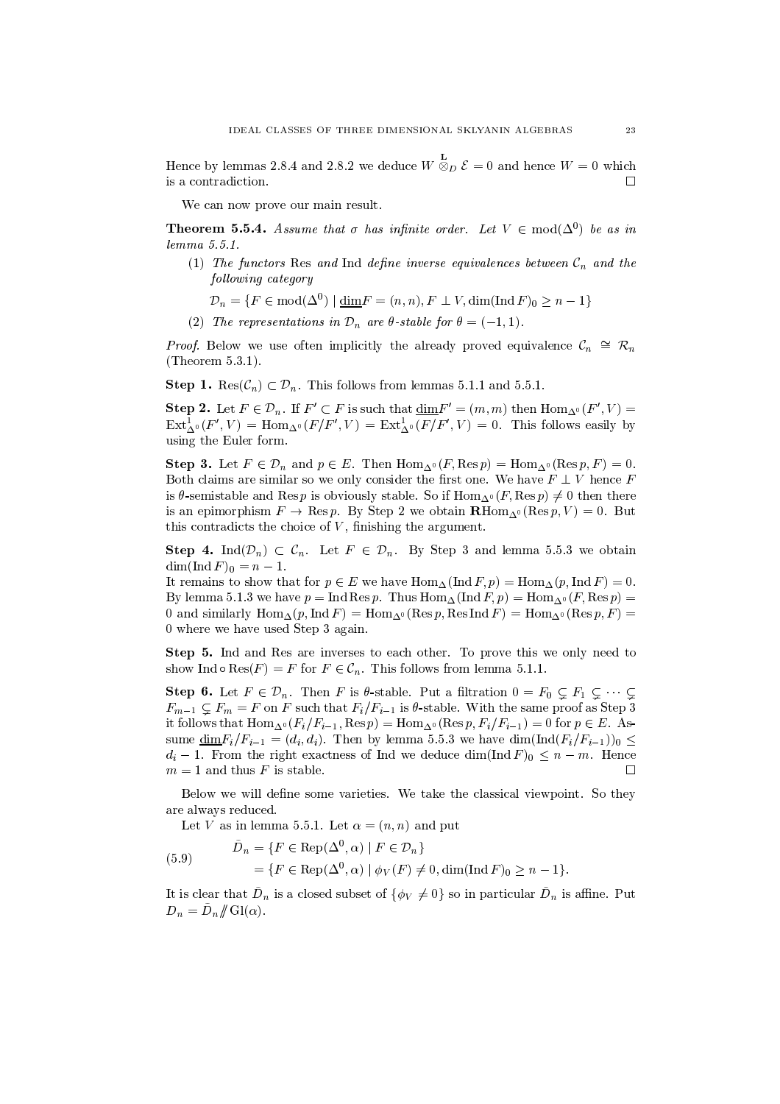Hence by lemmas 2.8.4 and 2.8.2 we deduce  $W \overset{\mathbf{L}}{\otimes}_D \mathcal{E} = 0$  and hence  $W = 0$  which is a contradiction.  $\Box$ 

We can now prove our main result.

**Theorem 5.5.4.** Assume that  $\sigma$  has infinite order. Let  $V \in \text{mod}(\Delta^0)$  be as in  $lemma 5.5.1.$ 

(1) The functors Res and Ind define inverse equivalences between  $C_n$  and the following category

 $\mathcal{D}_n = \{F \in \text{mod}(\Delta^0) \mid \underline{\dim} F = (n, n), F \perp V, \dim(\text{Ind } F)_0 \geq n - 1\}$ 

(2) The representations in  $\mathcal{D}_n$  are  $\theta$ -stable for  $\theta = (-1, 1)$ .

*Proof.* Below we use often implicitly the already proved equivalence  $\mathcal{C}_n \cong \mathcal{R}_n$ (Theorem  $5.3.1$ ).

**Step 1.** Res $(\mathcal{C}_n) \subset \mathcal{D}_n$ . This follows from lemmas 5.1.1 and 5.5.1.

**Step 2.** Let  $F \in \mathcal{D}_n$ . If  $F' \subset F$  is such that  $\dim F' = (m, m)$  then  $\text{Hom}_{\Delta^0}(F', V) =$  $\text{Ext}^1_{\Lambda^0}(F',V) = \text{Hom}_{\Lambda^0}(F/F',V) = \text{Ext}^1_{\Lambda^0}(F/F',V) = 0$ . This follows easily by using the Euler form.

**Step 3.** Let  $F \in \mathcal{D}_n$  and  $p \in E$ . Then  $\text{Hom}_{\Delta^0}(F, \text{Res } p) = \text{Hom}_{\Delta^0}(\text{Res } p, F) = 0$ . Both claims are similar so we only consider the first one. We have  $F \perp V$  hence F is  $\theta$ -semistable and Res p is obviously stable. So if  $\text{Hom}_{\Lambda^0}(F, \text{Res } p) \neq 0$  then there is an epimorphism  $F \to \text{Res } p$ . By Step 2 we obtain  $\mathbf{R} \text{Hom}_{\Delta^0}(\text{Res } p, V) = 0$ . But this contradicts the choice of  $V$ , finishing the argument.

**Step 4.** Ind $(\mathcal{D}_n) \subset \mathcal{C}_n$ . Let  $F \in \mathcal{D}_n$ . By Step 3 and lemma 5.5.3 we obtain  $\dim(\operatorname{Ind} F)_0 = n - 1.$ 

It remains to show that for  $p \in E$  we have  $\text{Hom}_{\Delta}(\text{Ind } F, p) = \text{Hom}_{\Delta}(p, \text{Ind } F) = 0$ . By lemma 5.1.3 we have  $p = \text{Ind Res } p$ . Thus  $\text{Hom}_{\Delta}(\text{Ind } F, p) = \text{Hom}_{\Delta^0}(F, \text{Res } p)$ 0 and similarly  $\text{Hom}_{\Delta}(p, \text{Ind } F) = \text{Hom}_{\Delta^0}(\text{Res } p, \text{Res Ind } F) = \text{Hom}_{\Delta^0}(\text{Res } p, F) =$ 0 where we have used Step 3 again.

Step 5. Ind and Res are inverses to each other. To prove this we only need to show Ind  $\circ$  Res $(F) = F$  for  $F \in \mathcal{C}_n$ . This follows from lemma 5.1.1.

**Step 6.** Let  $F \in \mathcal{D}_n$ . Then F is  $\theta$ -stable. Put a filtration  $0 = F_0 \subsetneq F_1 \subsetneq \cdots \subsetneq$  $F_{m-1} \nsubseteq F_m = F$  on F such that  $F_i/F_{i-1}$  is  $\theta$ -stable. With the same proof as Step 3 it follows that  $\text{Hom}_{\Delta^0}(F_i/F_{i-1}, \text{Res }p) = \text{Hom}_{\Delta^0}(\text{Res }p, F_i/F_{i-1}) = 0$  for  $p \in E$ . Assume  $\underline{\dim} F_i/F_{i-1} = (d_i, d_i)$ . Then by lemma 5.5.3 we have  $\dim(\text{Ind}(F_i/F_{i-1}))_0 \le$  $d_i-1$ . From the right exactness of Ind we deduce dim(Ind F)<sub>0</sub>  $\leq n-m$ . Hence  $m=1$  and thus F is stable.  $\Box$ 

Below we will define some varieties. We take the classical viewpoint. So they are always reduced.

Let V as in lemma 5.5.1. Let  $\alpha = (n, n)$  and put

(5.9) 
$$
\begin{aligned} \n\tilde{D}_n &= \{ F \in \text{Rep}(\Delta^0, \alpha) \mid F \in \mathcal{D}_n \} \\ \n&= \{ F \in \text{Rep}(\Delta^0, \alpha) \mid \phi_V(F) \neq 0, \dim(\text{Ind } F)_0 \geq n - 1 \}. \n\end{aligned}
$$

It is clear that  $D_n$  is a closed subset of  $\{\phi_V \neq 0\}$  so in particular  $D_n$  is affine. Put  $D_n = \tilde{D}_n / \! / \mathrm{Gl}(\alpha)$ .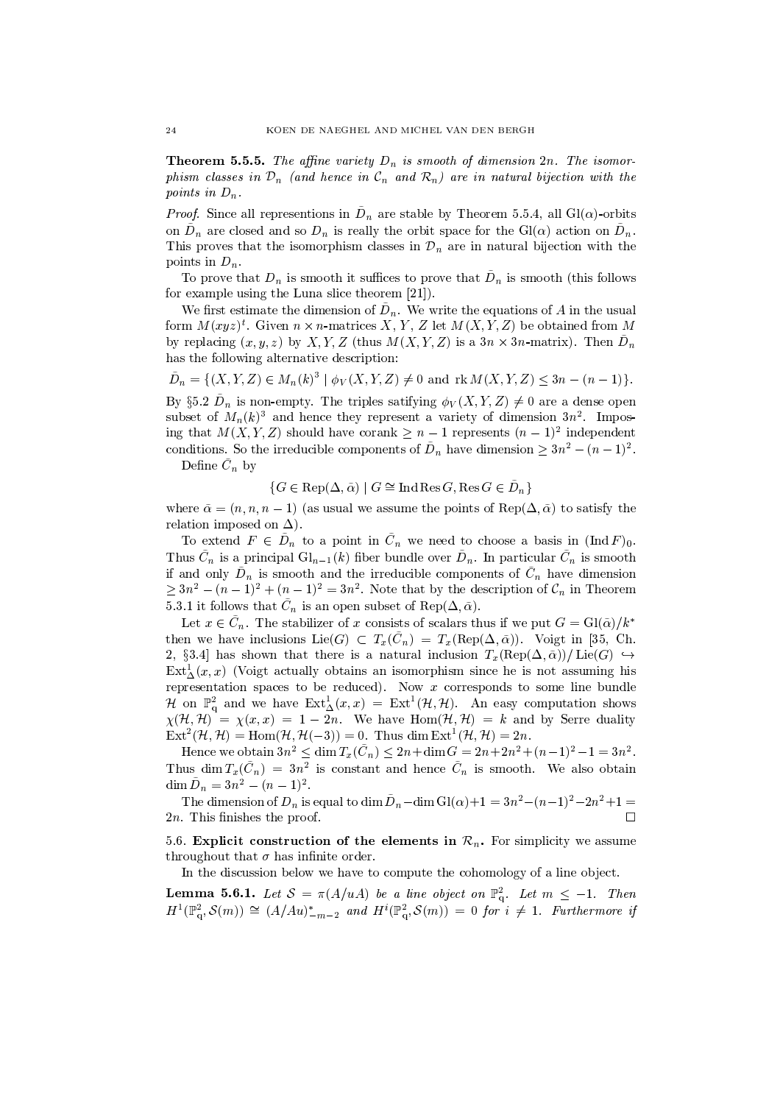**Theorem 5.5.5.** The affine variety  $D_n$  is smooth of dimension  $2n$ . The isomorphism classes in  $\mathcal{D}_n$  (and hence in  $\mathcal{C}_n$  and  $\mathcal{R}_n$ ) are in natural bijection with the points in  $D_n$ .

*Proof.* Since all representions in  $\tilde{D}_n$  are stable by Theorem 5.5.4, all  $Gl(\alpha)$ -orbits on  $\tilde{D}_n$  are closed and so  $D_n$  is really the orbit space for the Gl( $\alpha$ ) action on  $\tilde{D}_n$ . This proves that the isomorphism classes in  $\mathcal{D}_n$  are in natural bijection with the points in  $D_n$ .

To prove that  $D_n$  is smooth it suffices to prove that  $D_n$  is smooth (this follows for example using the Luna slice theorem [21]).

We first estimate the dimension of  $\tilde{D}_n$ . We write the equations of A in the usual form  $M(xyz)^t$ . Given  $n \times n$ -matrices X, Y, Z let  $M(X, Y, Z)$  be obtained from M by replacing  $(x, y, z)$  by X, Y, Z (thus  $M(X, Y, Z)$  is a  $3n \times 3n$ -matrix). Then  $D_n$ has the following alternative description:

 $\tilde{D}_n = \{(X, Y, Z) \in M_n(k)^3 \mid \phi_V(X, Y, Z) \neq 0 \text{ and } \text{rk } M(X, Y, Z) \leq 3n - (n-1)\}.$ 

By §5.2  $\tilde{D}_n$  is non-empty. The triples satifying  $\phi_V(X, Y, Z) \neq 0$  are a dense open subset of  $M_n(k)^3$  and hence they represent a variety of dimension  $3n^2$ . Imposing that  $M(X, Y, Z)$  should have corank  $\geq n-1$  represents  $(n-1)^2$  independent conditions. So the irreducible components of  $\tilde{D}_n$  have dimension  $\geq 3n^2 - (n-1)^2$ .

Define  $\tilde{C}_n$  by

 $\{G \in \text{Rep}(\Delta, \tilde{\alpha}) \mid G \cong \text{Ind} \text{Res } G, \text{Res } G \in \tilde{D}_n\}$ 

where  $\tilde{\alpha} = (n, n, n-1)$  (as usual we assume the points of Rep( $\Delta, \tilde{\alpha}$ ) to satisfy the relation imposed on  $\Delta$ ).

To extend  $F \in D_n$  to a point in  $C_n$  we need to choose a basis in  $(Ind F)_0$ . Thus  $\tilde{C}_n$  is a principal  $Gl_{n-1}(k)$  fiber bundle over  $\tilde{D}_n$ . In particular  $\tilde{C}_n$  is smooth if and only  $\tilde{D}_n$  is smooth and the irreducible components of  $\tilde{C}_n$  have dimension  $\geq 3n^2 - (n-1)^2 + (n-1)^2 = 3n^2$ . Note that by the description of  $\mathcal{C}_n$  in Theorem 5.3.1 it follows that  $\tilde{C}_n$  is an open subset of Rep( $\Delta, \tilde{\alpha}$ ).

Let  $x \in \tilde{C}_n$ . The stabilizer of x consists of scalars thus if we put  $G = Gl(\tilde{\alpha})/k^*$ then we have inclusions Lie(G)  $\subset T_x(\tilde{C}_n) = T_x(\text{Rep}(\Delta, \tilde{\alpha}))$ . Voigt in [35, Ch. 2, §3.4] has shown that there is a natural inclusion  $T_x(\text{Rep}(\Delta, \tilde{\alpha}))/\text{Lie}(G) \hookrightarrow$  $Ext^1_{\Delta}(x, x)$  (Voigt actually obtains an isomorphism since he is not assuming his representation spaces to be reduced). Now  $x$  corresponds to some line bundle H on  $\mathbb{P}_{q}^{2}$  and we have  $\text{Ext}_{\Delta}^{1}(x,x) = \text{Ext}^{1}(\mathcal{H},\mathcal{H})$ . An easy computation shows  $\chi(\mathcal{H}, \mathcal{H})^{\dagger} = \chi(x, x) = 1 - 2n$ . We have  $\text{Hom}(\mathcal{H}, \mathcal{H}) = k$  and by Serre duality  $\text{Ext}^2(\mathcal{H}, \mathcal{H}) = \text{Hom}(\mathcal{H}, \mathcal{H}(-3)) = 0$ . Thus dim  $\text{Ext}^1(\mathcal{H}, \mathcal{H}) = 2n$ .

Hence we obtain  $3n^2 \le \dim T_x(\tilde{C}_n) \le 2n + \dim G = 2n + 2n^2 + (n-1)^2 - 1 = 3n^2$ . Thus dim  $T_x(\tilde{C}_n) = 3n^2$  is constant and hence  $\tilde{C}_n$  is smooth. We also obtain  $\dim \tilde{D}_n = 3n^2 - (n-1)^2$ .

The dimension of  $D_n$  is equal to dim  $\tilde{D}_n$ -dim Gl( $\alpha$ )+1 =  $3n^2-(n-1)^2-2n^2+1$  =  $2n$ . This finishes the proof. П

5.6. Explicit construction of the elements in  $\mathcal{R}_n$ . For simplicity we assume throughout that  $\sigma$  has infinite order.

In the discussion below we have to compute the cohomology of a line object.

**Lemma 5.6.1.** Let  $S = \pi(A/uA)$  be a line object on  $\mathbb{P}_q^2$ . Let  $m \leq -1$ . Then  $H^1(\mathbb{P}^2_q, \mathcal{S}(m)) \cong (A/Au)^*_{-m-2}$  and  $H^i(\mathbb{P}^2_q, \mathcal{S}(m)) = 0$  for  $i \neq 1$ . Furthermore if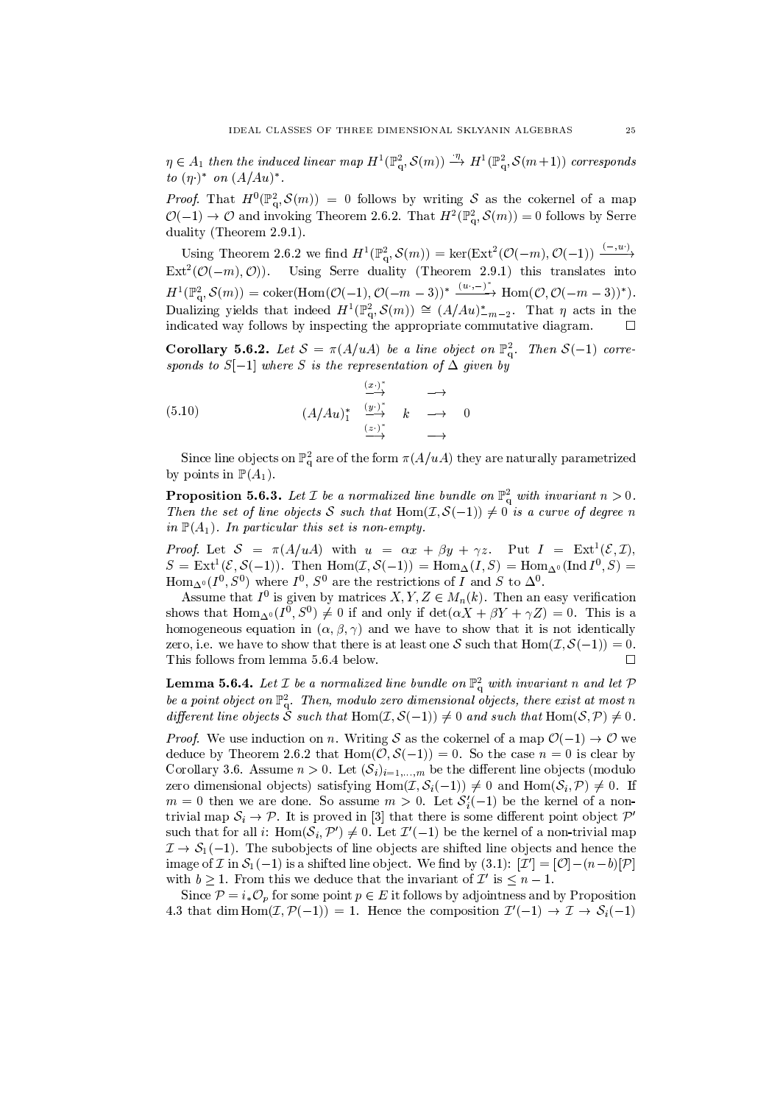$\eta \in A_1$  then the induced linear map  $H^1(\mathbb{P}^2_q, \mathcal{S}(m)) \stackrel{\eta}{\to} H^1(\mathbb{P}^2_q, \mathcal{S}(m+1))$  corresponds to  $(\eta)^*$  on  $(A/Au)^*$ .

*Proof.* That  $H^0(\mathbb{P}^2_\sigma, \mathcal{S}(m)) = 0$  follows by writing S as the cokernel of a map  $\mathcal{O}(-1) \to \mathcal{O}$  and invoking Theorem 2.6.2. That  $H^2(\mathbb{P}^2_\alpha, \mathcal{S}(m)) = 0$  follows by Serre duality (Theorem 2.9.1).

Using Theorem 2.6.2 we find  $H^1(\mathbb{P}^2_q, \mathcal{S}(m)) = \ker(\text{Ext}^2(\mathcal{O}(-m), \mathcal{O}(-1)) \xrightarrow{(-,w)}$  $\text{Ext}^2(\mathcal{O}(-m), \mathcal{O}))$ . Using Serre duality (Theorem 2.9.1) this translates into  $H^1(\mathbb{P}_q^2, \mathcal{S}(m)) = \text{coker}(\text{Hom}(\mathcal{O}(-1), \mathcal{O}(-m-3))^{*} \xrightarrow{(u \cdot, -)^{*}} \text{Hom}(\mathcal{O}, \mathcal{O}(-m-3))^{*}).$ Dualizing yields that indeed  $H^1(\mathbb{P}^2_q, \mathcal{S}(m)) \cong (A/Au)^*_{-m-2}$ . That  $\eta$  acts in the indicated way follows by inspecting the appropriate commutative diagram.  $\Box$ 

**Corollary 5.6.2.** Let  $S = \pi(A/uA)$  be a line object on  $\mathbb{P}_{q}^{2}$ . Then  $S(-1)$  corresponds to  $S[-1]$  where S is the representation of  $\Delta$  given by

$$
(5.10) \quad (A/Au)^{*}_{1} \xrightarrow{\frac{(x \cdot)^{*}}{2}} k \longrightarrow 0
$$

Since line objects on  $\mathbb{P}^2_\alpha$  are of the form  $\pi(A/uA)$  they are naturally parametrized by points in  $\mathbb{P}(A_1)$ 

**Proposition 5.6.3.** Let  $\mathcal I$  be a normalized line bundle on  $\mathbb{P}^2$  with invariant  $n > 0$ . Then the set of line objects S such that Hom $(\mathcal{I}, \mathcal{S}(-1)) \neq 0$  is a curve of degree n in  $\mathbb{P}(A_1)$ . In particular this set is non-empty.

*Proof.* Let  $S = \pi(A/uA)$  with  $u = \alpha x + \beta y + \gamma z$ . Put  $I = \text{Ext}^1(\mathcal{E}, \mathcal{I}),$  $S = \text{Ext}^{1}(\mathcal{E}, \mathcal{S}(-1))$ . Then  $\text{Hom}(\mathcal{I}, \mathcal{S}(-1)) = \text{Hom}_{\Delta}(I, S) = \text{Hom}_{\Delta^{0}}(\text{Ind }I^{0}, S)$ Hom<sub> $\Delta$ °</sub> ( $I^0$ ,  $S^0$ ) where  $I^0$ ,  $S^0$  are the restrictions of  $\overline{I}$  and  $\overline{S}$  to  $\Delta$ °.

Assume that  $I^0$  is given by matrices  $X, Y, Z \in M_n(k)$ . Then an easy verification shows that Hom<sub>0</sub> ( $I^0$ ,  $S^0$ )  $\neq$  0 if and only if  $\det(\alpha X + \beta Y + \gamma Z) = 0$ . This is a homogeneous equation in  $(\alpha, \beta, \gamma)$  and we have to show that it is not identically zero, i.e. we have to show that there is at least one S such that  $Hom(\mathcal{I}, \mathcal{S}(-1)) = 0$ . This follows from lemma 5.6.4 below.  $\Box$ 

**Lemma 5.6.4.** Let  $\mathcal I$  be a normalized line bundle on  $\mathbb{P}^2_q$  with invariant n and let  $\mathcal P$ be a point object on  $\mathbb{P}^2_q$ . Then, modulo zero dimensional objects, there exist at most n different line objects S such that  $\text{Hom}(\mathcal{I}, \mathcal{S}(-1)) \neq 0$  and such that  $\text{Hom}(\mathcal{S}, \mathcal{P}) \neq 0$ .

*Proof.* We use induction on n. Writing S as the cokernel of a map  $\mathcal{O}(-1) \rightarrow \mathcal{O}$  we deduce by Theorem 2.6.2 that  $Hom(\mathcal{O}, \mathcal{S}(-1)) = 0$ . So the case  $n = 0$  is clear by Corollary 3.6. Assume  $n > 0$ . Let  $(\mathcal{S}_i)_{i=1,...,m}$  be the different line objects (modulo zero dimensional objects) satisfying  $Hom(\mathcal{I}, \mathcal{S}_i(-1)) \neq 0$  and  $Hom(\mathcal{S}_i, \mathcal{P}) \neq 0$ . If  $m = 0$  then we are done. So assume  $m > 0$ . Let  $S'_{i}(-1)$  be the kernel of a nontrivial map  $S_i \to \mathcal{P}$ . It is proved in [3] that there is some different point object  $\mathcal{P}'$ such that for all i: Hom $(S_i, \mathcal{P}') \neq 0$ . Let  $\mathcal{I}'(-1)$  be the kernel of a non-trivial map  $\mathcal{I} \to \mathcal{S}_1(-1)$ . The subobjects of line objects are shifted line objects and hence the image of  $\mathcal I$  in  $\mathcal S_1(-1)$  is a shifted line object. We find by (3.1):  $[\mathcal I'] = [\mathcal O] - (n-b)[\mathcal P]$ with  $b \ge 1$ . From this we deduce that the invariant of  $\mathcal{I}'$  is  $\le n-1$ .

Since  $P = i_{*} \mathcal{O}_{p}$  for some point  $p \in E$  it follows by adjointness and by Proposition 4.3 that dim Hom $(\mathcal{I}, \mathcal{P}(-1)) = 1$ . Hence the composition  $\mathcal{I}'(-1) \to \mathcal{I} \to \mathcal{S}_i(-1)$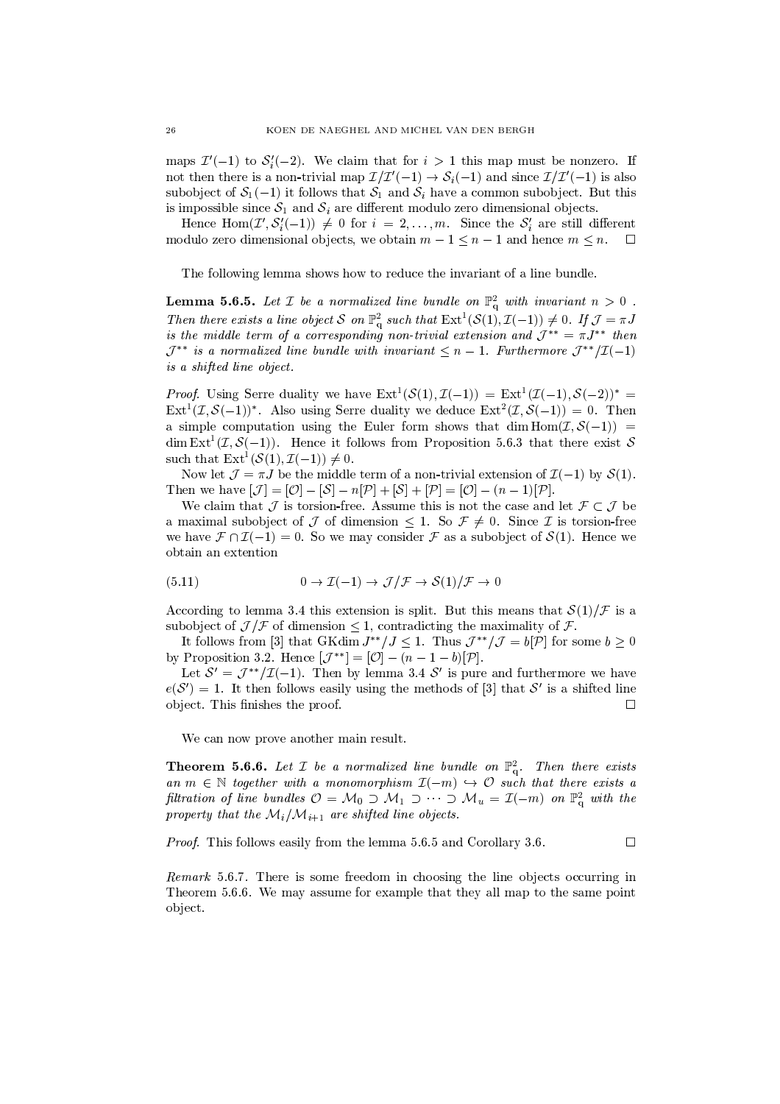maps  $\mathcal{I}'(-1)$  to  $\mathcal{S}'_i(-2)$ . We claim that for  $i > 1$  this map must be nonzero. If not then there is a non-trivial map  $\mathcal{I}/\mathcal{I}'(-1) \to \mathcal{S}_i(-1)$  and since  $\mathcal{I}/\mathcal{I}'(-1)$  is also subobject of  $S_1(-1)$  it follows that  $S_1$  and  $S_i$  have a common subobject. But this is impossible since  $S_1$  and  $S_i$  are different modulo zero dimensional objects.

Hence Hom $(\mathcal{I}', \mathcal{S}'_i(-1)) \neq 0$  for  $i = 2, ..., m$ . Since the  $\mathcal{S}'_i$  are still different modulo zero dimensional objects, we obtain  $m-1 \leq n-1$  and hence  $m \leq n$ .  $\Box$ 

The following lemma shows how to reduce the invariant of a line bundle.

**Lemma 5.6.5.** Let  $\mathcal I$  be a normalized line bundle on  $\mathbb{P}^2_q$  with invariant  $n > 0$ . Then there exists a line object S on  $\mathbb{P}^2_q$  such that  $\mathrm{Ext}^1(\mathcal{S}(1), \mathcal{I}(-1)) \neq 0$ . If  $\mathcal{J} = \pi J$ is the middle term of a corresponding non-trivial extension and  $\mathcal{J}^{**} = \pi J^{**}$  then  $\mathcal{J}^{**}$  is a normalized line bundle with invariant  $\leq n-1$ . Furthermore  $\mathcal{J}^{**}/\mathcal{I}(-1)$ is a shifted line object.

*Proof.* Using Serre duality we have  $Ext^1(S(1), \mathcal{I}(-1)) = Ext^1(\mathcal{I}(-1), S(-2))^* =$  $Ext^1(\mathcal{I}, \mathcal{S}(-1))^*$ . Also using Serre duality we deduce  $Ext^2(\mathcal{I}, \mathcal{S}(-1)) = 0$ . Then a simple computation using the Euler form shows that dim  $\text{Hom}(\mathcal{I}, \mathcal{S}(-1))$  = dim  $\text{Ext}^{1}(\mathcal{I}, \mathcal{S}(-1))$ . Hence it follows from Proposition 5.6.3 that there exist S such that  $\text{Ext}^1(\mathcal{S}(1), \mathcal{I}(-1)) \neq 0$ .

Now let  $\mathcal{J} = \pi J$  be the middle term of a non-trivial extension of  $\mathcal{I}(-1)$  by  $\mathcal{S}(1)$ . Then we have  $[\mathcal{J}] = [\mathcal{O}] - [\mathcal{S}] - n[\mathcal{P}] + [\mathcal{S}] + [\mathcal{P}] = [\mathcal{O}] - (n-1)[\mathcal{P}].$ 

We claim that  $\mathcal J$  is torsion-free. Assume this is not the case and let  $\mathcal F\subset \mathcal J$  be a maximal subobject of  $\mathcal J$  of dimension  $\leq 1$ . So  $\mathcal F \neq 0$ . Since  $\mathcal I$  is torsion-free we have  $\mathcal{F} \cap \mathcal{I}(-1) = 0$ . So we may consider  $\mathcal F$  as a subobject of  $\mathcal{S}(1)$ . Hence we obtain an extention

(5.11) 
$$
0 \to \mathcal{I}(-1) \to \mathcal{J}/\mathcal{F} \to \mathcal{S}(1)/\mathcal{F} \to 0
$$

According to lemma 3.4 this extension is split. But this means that  $S(1)/\mathcal{F}$  is a subobject of  $\mathcal{J}/\mathcal{F}$  of dimension  $\leq 1$ , contradicting the maximality of  $\mathcal{F}$ .

It follows from [3] that GKdim  $J^{**}/J \leq 1$ . Thus  $\mathcal{J}^{**}/\mathcal{J} = b[\mathcal{P}]$  for some  $b \geq 0$ by Proposition 3.2. Hence  $[\mathcal{J}^{**}] = [\mathcal{O}] - (n-1-b)[\mathcal{P}]$ .

Let  $S' = \mathcal{J}^{**}/\mathcal{I}(-1)$ . Then by lemma 3.4 S' is pure and furthermore we have  $e(S') = 1$ . It then follows easily using the methods of [3] that S' is a shifted line object. This finishes the proof.  $\Box$ 

We can now prove another main result.

**Theorem 5.6.6.** Let *I* be a normalized line bundle on  $\mathbb{P}^2$ . Then there exists an  $m \in \mathbb{N}$  together with a monomorphism  $\mathcal{I}(-m) \hookrightarrow \mathcal{O}$  such that there exists a filtration of line bundles  $\mathcal{O} = \mathcal{M}_0 \supset \mathcal{M}_1 \supset \cdots \supset \mathcal{M}_u = \mathcal{I}(-m)$  on  $\mathbb{P}^2_q$  with the property that the  $\mathcal{M}_i/\mathcal{M}_{i+1}$  are shifted line objects.

*Proof.* This follows easily from the lemma 5.6.5 and Corollary 3.6.

Remark 5.6.7. There is some freedom in choosing the line objects occurring in Theorem 5.6.6. We may assume for example that they all map to the same point object.

 $\Box$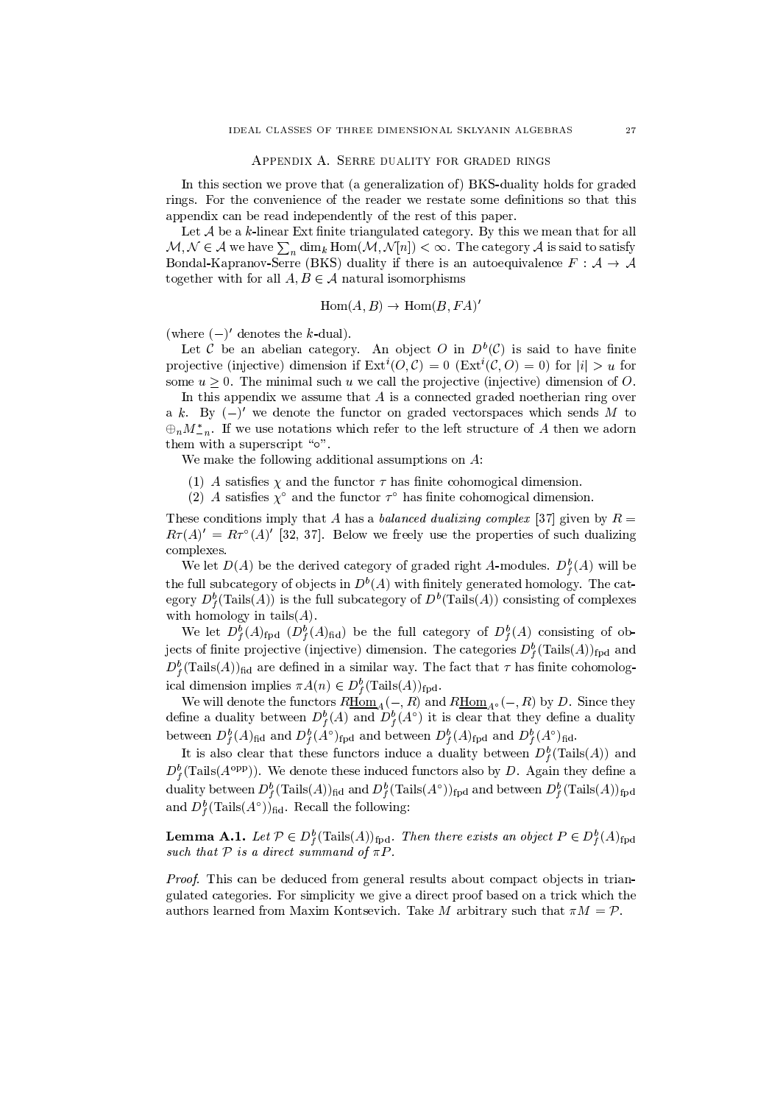#### APPENDIX A. SERRE DUALITY FOR GRADED RINGS

In this section we prove that (a generalization of) BKS-duality holds for graded rings. For the convenience of the reader we restate some definitions so that this appendix can be read independently of the rest of this paper.

Let  $A$  be a k-linear Ext finite triangulated category. By this we mean that for all  $\mathcal{M}, \mathcal{N} \in \mathcal{A}$  we have  $\sum_{n} \dim_k \text{Hom}(\mathcal{M}, \mathcal{N}[n]) < \infty$ . The category  $\mathcal{A}$  is said to satisfy Bondal-Kapranov-Serre (BKS) duality if there is an autoequivalence  $F : A \rightarrow A$ together with for all  $A, B \in \mathcal{A}$  natural isomorphisms

$$
Hom(A, B) \to Hom(B, FA)'
$$

(where  $(-)'$  denotes the k-dual).

Let C be an abelian category. An object O in  $D^b(\mathcal{C})$  is said to have finite projective (injective) dimension if  $Ext^i(O, C) = 0$  ( $Ext^i(C, O) = 0$ ) for  $|i| > u$  for some  $u > 0$ . The minimal such u we call the projective (injective) dimension of O.

In this appendix we assume that  $A$  is a connected graded noetherian ring over a k. By  $(-)'$  we denote the functor on graded vectorspaces which sends M to  $\oplus_n M_{-n}^*$ . If we use notations which refer to the left structure of A then we adorn them with a superscript "o".

We make the following additional assumptions on  $A$ :

- (1) A satisfies  $\chi$  and the functor  $\tau$  has finite cohomogical dimension.
- (2) A satisfies  $\chi^{\circ}$  and the functor  $\tau^{\circ}$  has finite cohomogical dimension.

These conditions imply that A has a *balanced dualizing complex* [37] given by  $R =$  $R\tau(A)' = R\tau^{\circ}(A)'$  [32, 37]. Below we freely use the properties of such dualizing complexes.

We let  $D(A)$  be the derived category of graded right A-modules.  $D_f^b(A)$  will be the full subcategory of objects in  $D^b(A)$  with finitely generated homology. The category  $D^b$ (Tails(A)) is the full subcategory of  $D^b$ (Tails(A)) consisting of complexes with homology in tails $(A)$ .

We let  $D_f^b(A)_{\text{fpd}}$   $(D_f^b(A)_{\text{fid}})$  be the full category of  $D_f^b(A)$  consisting of objects of finite projective (injective) dimension. The categories  $D_f^b(\text{Tails}(A))_{\text{fpd}}$  and  $D_{\varepsilon}^{b}$  (Tails(A))<sub>fid</sub> are defined in a similar way. The fact that  $\tau$  has finite cohomological dimension implies  $\pi A(n) \in D_f^b(\text{Tails}(A))_{\text{fpd}}$ .

We will denote the functors  $R\underline{\mathrm{Hom}}_A(-,R)$  and  $R\underline{\mathrm{Hom}}_{A^{\circ}}(-,R)$  by D. Since they define a duality between  $D_f^b(A)$  and  $D_f^b(A^{\circ})$  it is clear that they define a duality between  $D_f^b(A)_{\text{fid}}$  and  $D_f^b(A^{\circ})_{\text{fpd}}$  and between  $D_f^b(A)_{\text{fpd}}$  and  $D_f^b(A^{\circ})_{\text{fid}}$ .

It is also clear that these functors induce a duality between  $D_f^b(\text{Tails}(A))$  and  $D_f^b$ (Tails( $A^{opp}$ )). We denote these induced functors also by D. Again they define a duality between  $D_f^b$  (Tails $(A)$ )<sub>fid</sub> and  $D_f^b$  (Tails $(A^{\circ})$ <sub>fpd</sub> and between  $D_f^b$  (Tails $(A)$ )<sub>fpd</sub> and  $D_f^b(\text{Tails}(A^{\circ}))_{\text{fid}}$ . Recall the following:

**Lemma A.1.** Let  $\mathcal{P} \in D_f^b(\text{Tails}(A))_{\text{fpd}}$ . Then there exists an object  $P \in D_f^b(A)_{\text{fpd}}$ such that  $P$  is a direct summand of  $\pi P$ .

Proof. This can be deduced from general results about compact objects in triangulated categories. For simplicity we give a direct proof based on a trick which the authors learned from Maxim Kontsevich. Take M arbitrary such that  $\pi M = \mathcal{P}$ .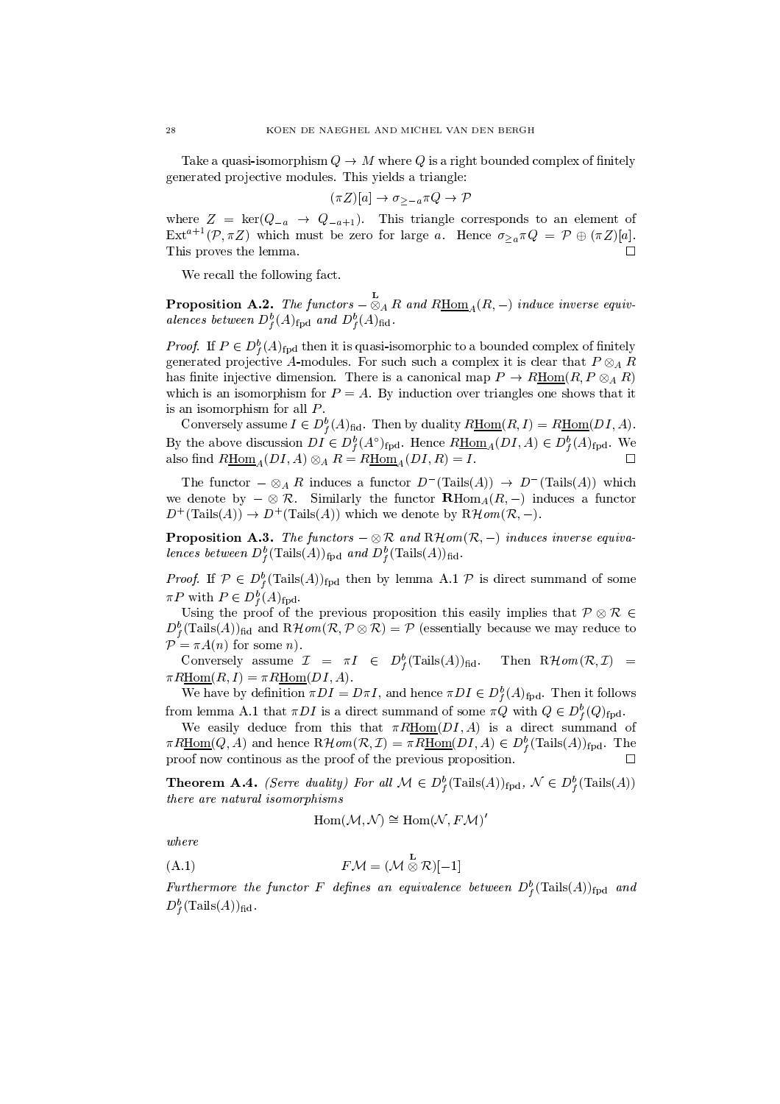Take a quasi-isomorphism  $Q \to M$  where Q is a right bounded complex of finitely generated projective modules. This yields a triangle:

$$
(\pi Z)[a] \to \sigma_{>-a} \pi Q \to \mathcal{P}
$$

where  $Z = \text{ker}(Q_{-a} \rightarrow Q_{-a+1})$ . This triangle corresponds to an element of  $\text{Ext}^{a+1}(\mathcal{P}, \pi Z)$  which must be zero for large a. Hence  $\sigma_{\geq a} \pi Q = \mathcal{P} \oplus (\pi Z)[a].$ This proves the lemma.  $\Box$ 

We recall the following fact.

**Proposition A.2.** The functors  $-\otimes_A R$  and  $R\underline{Hom}_A(R,-)$  induce inverse equivalences between  $D_f^b(A)_{\text{fpd}}$  and  $D_f^b(A)_{\text{fid}}$ .

*Proof.* If  $P \in D_f^b(A)_{\text{fpd}}$  then it is quasi-isomorphic to a bounded complex of finitely generated projective A-modules. For such such a complex it is clear that  $P \otimes_A R$ has finite injective dimension. There is a canonical map  $P \to R\underline{\text{Hom}}(R, P \otimes_A R)$ which is an isomorphism for  $P = A$ . By induction over triangles one shows that it is an isomorphism for all  $P$ .

Conversely assume  $I \in D_f^b(A)_{\text{fid}}$ . Then by duality  $R\underline{\text{Hom}}(R, I) = R\underline{\text{Hom}}(DI, A)$ . By the above discussion  $DI \in D_f^b(A^{\circ})_{\text{fpd}}$ . Hence  $R\underline{\text{Hom}}_A(DI, A) \in D_f^b(A)_{\text{fpd}}$ . We also find  $R\underline{\mathrm{Hom}}_A(DI, A) \otimes_A R = R\underline{\mathrm{Hom}}_A(DI, R) = I.$ 

The functor  $-\otimes_A R$  induces a functor  $D^{-}(\text{Tails}(A)) \to D^{-}(\text{Tails}(A))$  which we denote by  $-\otimes \mathcal{R}$ . Similarly the functor  $\mathbf{R} \text{Hom}_{A}(R,-)$  induces a functor  $D^+(\text{Tails}(A)) \to D^+(\text{Tails}(A))$  which we denote by  $R\mathcal{H}\text{om}(\mathcal{R},-)$ .

**Proposition A.3.** The functors  $-\otimes \mathcal{R}$  and  $R\mathcal{H}$ om( $\mathcal{R}, -$ ) induces inverse equivalences between  $D_f^b(\text{Tails}(A))_{\text{fpd}}$  and  $D_f^b(\text{Tails}(A))_{\text{fid}}$ .

*Proof.* If  $\mathcal{P} \in D_f^b(\text{Tails}(A))_{\text{fpd}}$  then by lemma A.1  $\mathcal{P}$  is direct summand of some  $\pi P$  with  $P \in D_f^b(A)_{\text{fpd}}$ .

Using the proof of the previous proposition this easily implies that  $P \otimes R$  $D_f^b(\text{Tails}(A))_{\text{fid}}$  and  $R\mathcal{H}$  om  $(\mathcal{R}, \mathcal{P} \otimes \mathcal{R}) = \mathcal{P}$  (essentially because we may reduce to  $\mathcal{P} = \pi A(n)$  for some *n*).

Conversely assume  $\mathcal{I} = \pi I \in D_f^b(\text{Tails}(A))_{\text{fid}}$ . Then  $\mathbb{R}$ *Hom* $(\mathcal{R}, \mathcal{I})$  =  $\pi R$ Hom $(R, I) = \pi R$ Hom $(DI, A)$ .

We have by definition  $\pi DI = D\pi I$ , and hence  $\pi DI \in D_f^b(A)_{\text{fpd}}$ . Then it follows from lemma A.1 that  $\pi DI$  is a direct summand of some  $\pi Q$  with  $Q \in D_f^b(Q)_{\text{fpd}}$ .

We easily deduce from this that  $\pi R\underline{Hom}(DI,A)$  is a direct summand of  $\pi R\underline{\text{Hom}}(Q, A)$  and hence  $R\mathcal{H}\text{om}(\mathcal{R}, \mathcal{I}) = \pi R\underline{\text{Hom}}(DI, A) \in D_f^b(\text{Tails}(A))_{\text{fpd}}$ . The proof now continous as the proof of the previous proposition.  $\Box$ 

**Theorem A.4.** *(Serre duality)* For all  $M \in D_f^b(\text{Tails}(A))_{\text{fpd}}, \mathcal{N} \in D_f^b(\text{Tails}(A))$ there are natural isomorphisms

$$
\mathrm{Hom}(\mathcal{M},\mathcal{N})\cong \mathrm{Hom}(\mathcal{N},F\mathcal{M})'
$$

 $where$ 

$$
(A.1) \t\t\t\t F\mathcal{M} = (\mathcal{M} \overset{\sim}{\otimes} \mathcal{R})[-1]
$$

Furthermore the functor F defines an equivalence between  $D_f^b(\text{Tails}(A))_{\text{fpd}}$  and  $D_f^b(\text{Tails}(A))_{\text{fid}}$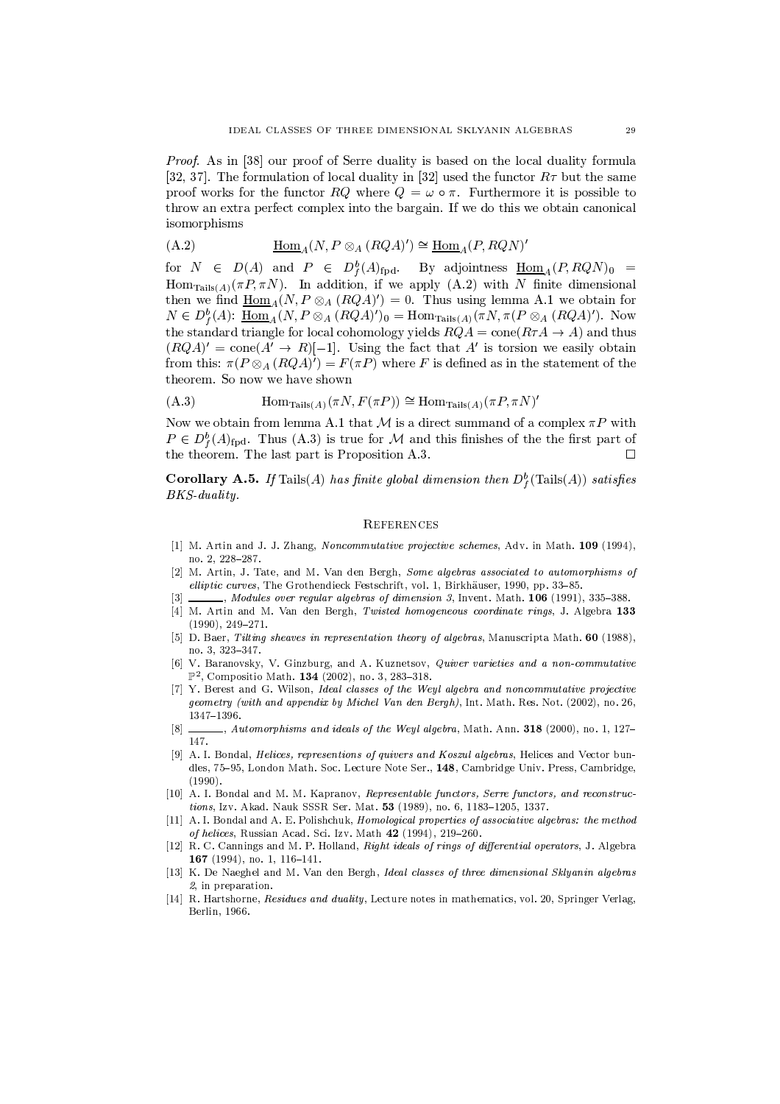*Proof.* As in [38] our proof of Serre duality is based on the local duality formula [32, 37]. The formulation of local duality in [32] used the functor  $R\tau$  but the same proof works for the functor RQ where  $Q = \omega \circ \pi$ . Furthermore it is possible to throw an extra perfect complex into the bargain. If we do this we obtain canonical isomorphisms

$$
(A.2) \tHom_A(N, P \otimes_A (RQA)') \cong \underline{Hom}_A(P, RQN)'
$$

for  $N \in D(A)$  and  $P \in D_f^b(A)_{\text{fpd}}$ . By adjointness  $\underline{\text{Hom}}_A(P, RQN)_0 =$ Hom<sub>Tails</sub>(A)( $\pi P$ ,  $\pi N$ ). In addition, if we apply (A.2) with N finite dimensional then we find  $\underline{\text{Hom}}_A(N, P \otimes_A (RQA)') = 0$ . Thus using lemma A.1 we obtain for  $N \in D_f^b(A)$ :  $\underline{\text{Hom}}_A(N, P \otimes_A (RQA)')_0 = \text{Hom}_{\text{Tails}(A)}(\pi N, \pi (P \otimes_A (RQA)')$ . Now the standard triangle for local cohomology yields  $RQA = cone(RTA \rightarrow A)$  and thus  $(RQA)' = \text{cone}(A' \rightarrow R)[-1]$ . Using the fact that A' is torsion we easily obtain from this:  $\pi(P \otimes_A (RQA)^r) = F(\pi P)$  where F is defined as in the statement of the theorem. So now we have shown

$$
(A.3) \t\t\t\t\t\t\tHomTails(A)(\pi N, F(\pi P)) \cong HomTails(A)(\pi P, \pi N)'
$$

Now we obtain from lemma A.1 that M is a direct summand of a complex  $\pi P$  with  $P \in D_{\ell}^{b}(A)_{\text{fpd}}$ . Thus (A.3) is true for M and this finishes of the the first part of the theorem. The last part is Proposition A.3.  $\Box$ 

**Corollary A.5.** If Tails(A) has finite global dimension then  $D_f^b$  (Tails(A)) satisfies BKS-duality.

#### **REFERENCES**

- [1] M. Artin and J. J. Zhang, Noncommutative projective schemes, Adv. in Math. 109 (1994), no. 2, 228-287.
- [2] M. Artin, J. Tate, and M. Van den Bergh, Some algebras associated to automorphisms of elliptic curves. The Grothendieck Festschrift, vol. 1, Birkhäuser, 1990, pp. 33-85.
- $\lceil 3 \rceil$  $\ldots$ , Modules over regular algebras of dimension 3, Invent. Math. 106 (1991), 335-388.
- [4] M. Artin and M. Van den Bergh, Twisted homogeneous coordinate rings, J. Algebra 133  $(1990), 249-271.$
- [5] D. Baer, Tilting sheaves in representation theory of algebras, Manuscripta Math. 60 (1988), no. 3, 323-347.
- V. Baranovsky, V. Ginzburg, and A. Kuznetsov, Quiver varieties and a non-commutative  $\lceil 6 \rceil$  $\mathbb{P}^2$ , Compositio Math. 134 (2002), no. 3, 283-318.
- [7] Y. Berest and G. Wilson, Ideal classes of the Weyl algebra and noncommutative projective geometry (with and appendix by Michel Van den Bergh), Int. Math. Res. Not. (2002), no. 26,  $1347 - 1396.$
- $\Box$ , Automorphisms and ideals of the Weyl algebra, Math. Ann. 318 (2000), no. 1, 127–  $[8]$ 147.
- [9] A. I. Bondal, *Helices*, *representions of quivers and Koszul algebras*, Helices and Vector bundles, 75-95, London Math. Soc. Lecture Note Ser., 148, Cambridge Univ. Press, Cambridge,  $(1990).$
- [10] A. I. Bondal and M. M. Kapranov, Representable functors, Serre functors, and reconstructions, Izv. Akad. Nauk SSSR Ser. Mat. 53 (1989), no. 6, 1183-1205, 1337.
- [11] A. I. Bondal and A. E. Polishchuk, *Homological properties of associative algebras: the method* of helices, Russian Acad. Sci. Izv. Math 42 (1994), 219-260.
- [12] R. C. Cannings and M. P. Holland, Right ideals of rings of differential operators, J. Algebra 167 (1994), no. 1, 116-141.
- [13] K. De Naeghel and M. Van den Bergh, Ideal classes of three dimensional Skluanin algebras 2. in preparation.
- [14] R. Hartshorne, *Residues and duality*, Lecture notes in mathematics, vol. 20. Springer Verlag. Berlin, 1966.